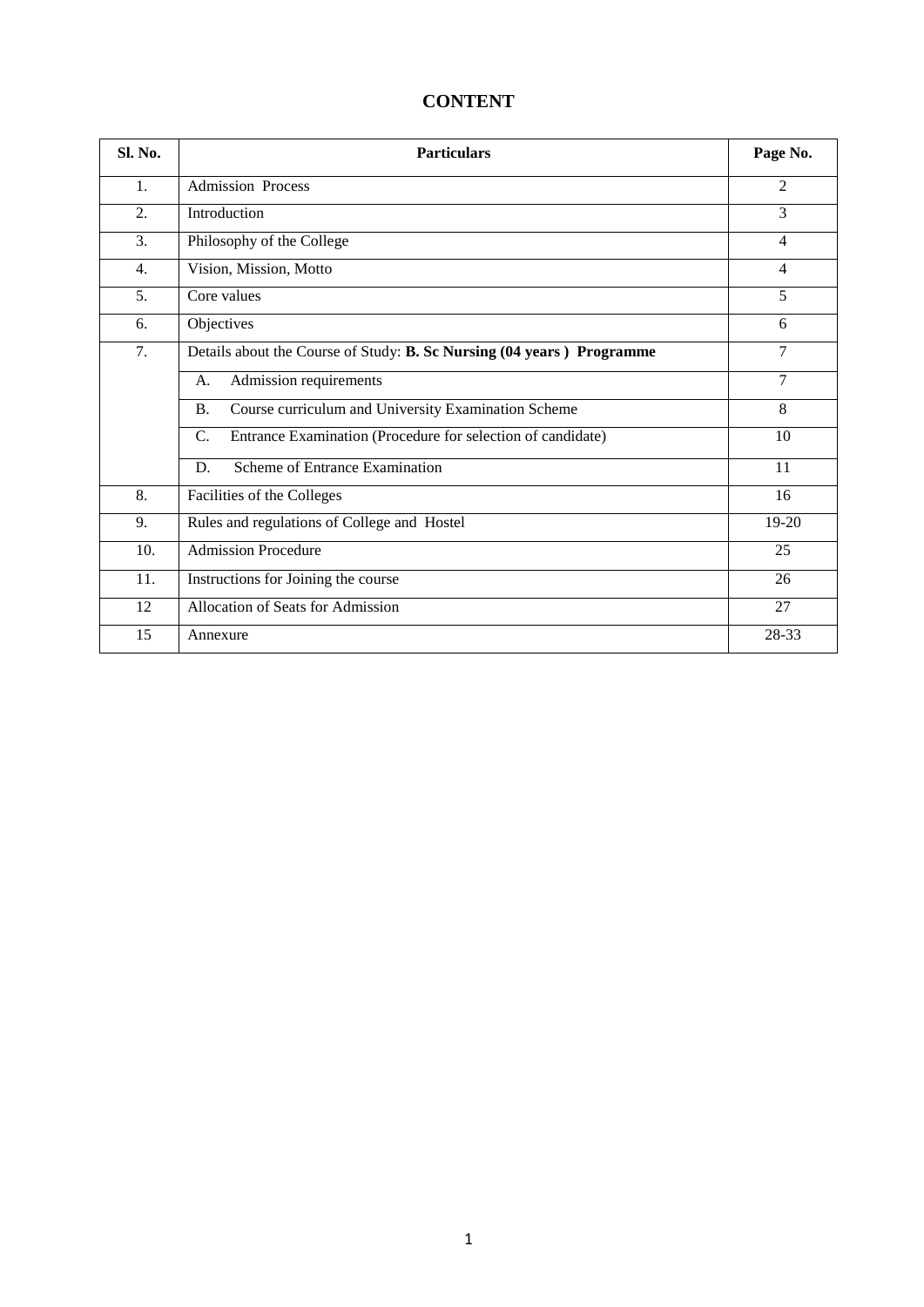# **CONTENT**

| Sl. No.          | <b>Particulars</b>                                                         | Page No.       |  |  |  |  |
|------------------|----------------------------------------------------------------------------|----------------|--|--|--|--|
| 1.               | <b>Admission Process</b>                                                   | 2              |  |  |  |  |
| $\overline{2}$ . | Introduction                                                               | 3              |  |  |  |  |
| 3.               | Philosophy of the College                                                  | $\overline{4}$ |  |  |  |  |
| 4.               | Vision, Mission, Motto                                                     | $\overline{4}$ |  |  |  |  |
| 5.               | Core values                                                                |                |  |  |  |  |
| 6.               | Objectives                                                                 | 6              |  |  |  |  |
| 7.               | Details about the Course of Study: B. Sc Nursing (04 years) Programme      | $\overline{7}$ |  |  |  |  |
|                  | Admission requirements<br>А.                                               | $\tau$         |  |  |  |  |
|                  | Course curriculum and University Examination Scheme<br><b>B.</b>           | 8              |  |  |  |  |
|                  | Entrance Examination (Procedure for selection of candidate)<br>$C_{\cdot}$ | 10             |  |  |  |  |
|                  | Scheme of Entrance Examination<br>D.                                       | 11             |  |  |  |  |
| 8.               | Facilities of the Colleges                                                 | 16             |  |  |  |  |
| 9.               | Rules and regulations of College and Hostel                                | 19-20          |  |  |  |  |
| 10.              | <b>Admission Procedure</b>                                                 | 25             |  |  |  |  |
| 11.              | Instructions for Joining the course                                        | 26             |  |  |  |  |
| 12               | Allocation of Seats for Admission                                          | 27             |  |  |  |  |
| 15               | Annexure                                                                   | 28-33          |  |  |  |  |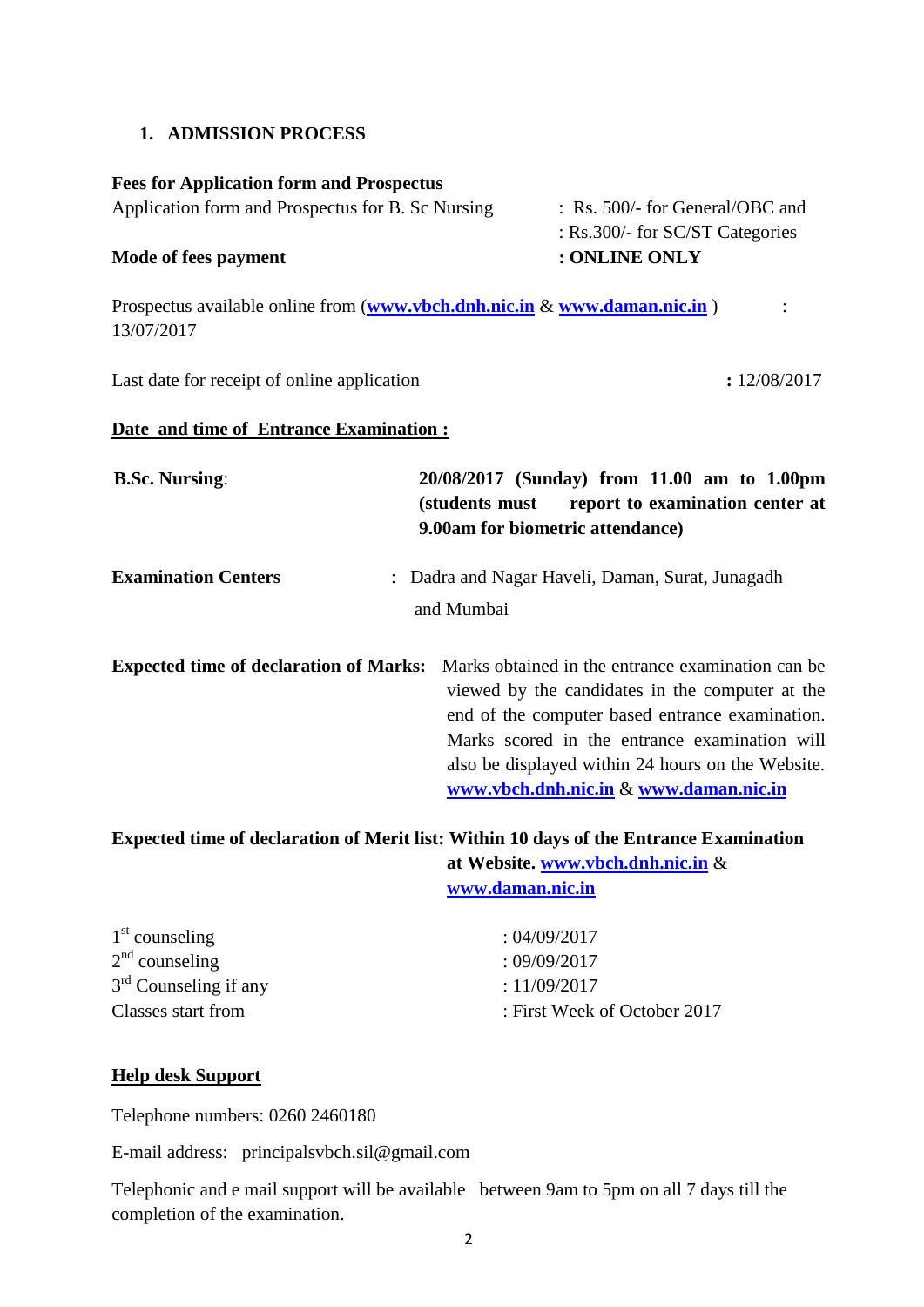#### **1. ADMISSION PROCESS**

#### **Fees for Application form and Prospectus**

| <b>Mode of fees payment</b>                       | : ONLINE ONLY                              |
|---------------------------------------------------|--------------------------------------------|
|                                                   | : $\text{Rs.300/-}$ for SC/ST Categories   |
| Application form and Prospectus for B. Sc Nursing | $\therefore$ Rs. 500/- for General/OBC and |

Prospectus available online from (**[www.vbch.dnh.nic.in](http://www.vbch.dnh.nic.in/)** & **[www.daman.nic.in](http://www.dd.nic.in/)**) : 13/07/2017

Last date for receipt of online application **:**  $12/08/2017$ 

#### **Date and time of Entrance Examination :**

| <b>B.Sc. Nursing:</b>                         | 20/08/2017 (Sunday) from 11.00 am to 1.00pm<br>report to examination center at<br>(students must<br>9.00am for biometric attendance)                                                                                                                           |
|-----------------------------------------------|----------------------------------------------------------------------------------------------------------------------------------------------------------------------------------------------------------------------------------------------------------------|
| <b>Examination Centers</b>                    | : Dadra and Nagar Haveli, Daman, Surat, Junagadh                                                                                                                                                                                                               |
|                                               | and Mumbai                                                                                                                                                                                                                                                     |
| <b>Expected time of declaration of Marks:</b> | Marks obtained in the entrance examination can be.<br>viewed by the candidates in the computer at the<br>end of the computer based entrance examination.<br>Marks scored in the entrance examination will<br>also be displayed within 24 hours on the Website. |

**at Website. [www.vbch.dnh.nic.in](http://www.vbch.dnh.nic.in/)** & **[www.daman.nic.in](http://www.dd.nic.in/)**

| :04/09/2017                  |
|------------------------------|
| : 09/09/2017                 |
| : 11/09/2017                 |
| : First Week of October 2017 |
|                              |

#### **Help desk Support**

Telephone numbers: 0260 2460180

E-mail address: principalsvbch.sil@gmail.com

Telephonic and e mail support will be available between 9am to 5pm on all 7 days till the completion of the examination.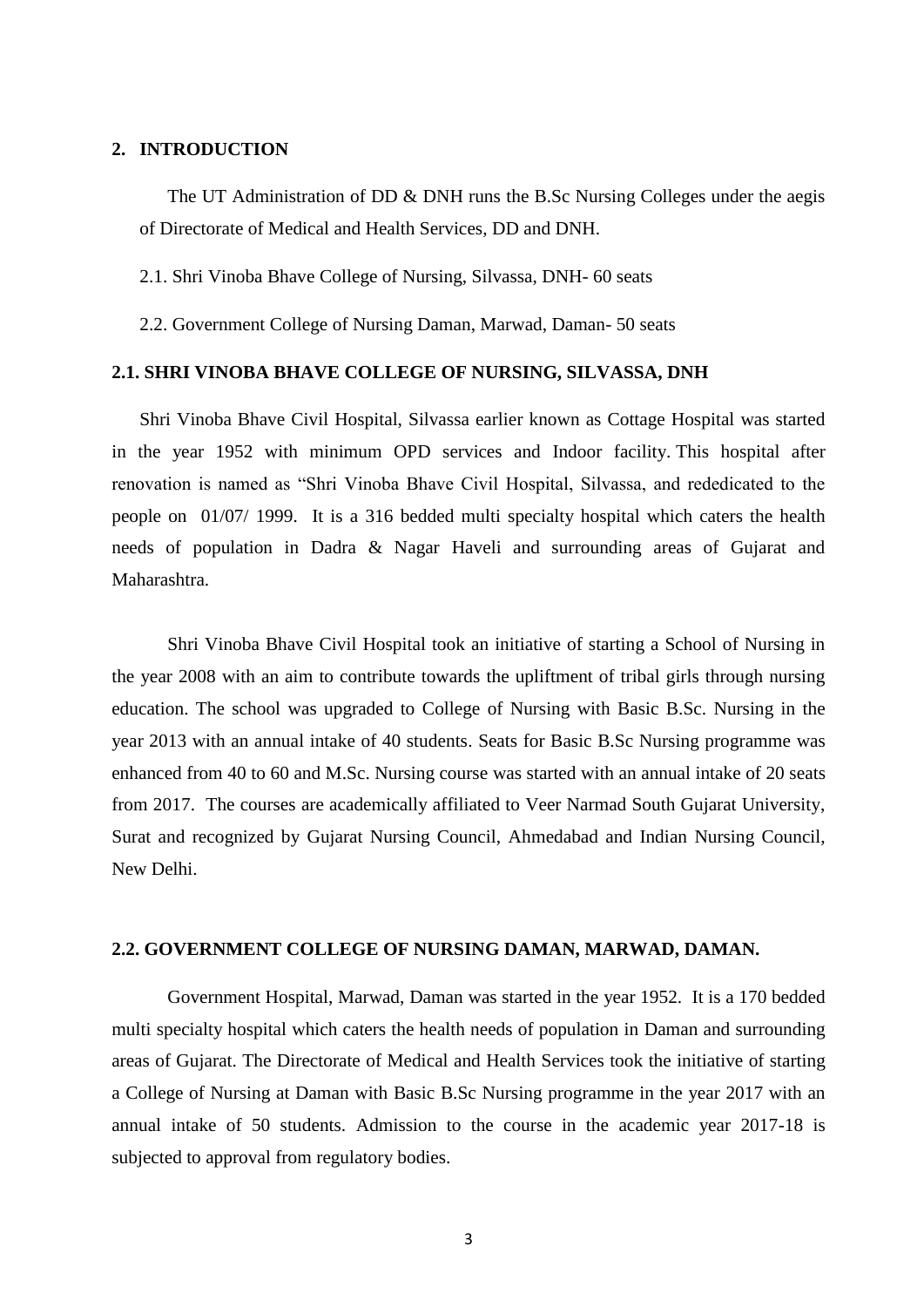#### **2. INTRODUCTION**

The UT Administration of DD & DNH runs the B.Sc Nursing Colleges under the aegis of Directorate of Medical and Health Services, DD and DNH.

2.1. Shri Vinoba Bhave College of Nursing, Silvassa, DNH- 60 seats

2.2. Government College of Nursing Daman, Marwad, Daman- 50 seats

#### **2.1. SHRI VINOBA BHAVE COLLEGE OF NURSING, SILVASSA, DNH**

Shri Vinoba Bhave Civil Hospital, Silvassa earlier known as Cottage Hospital was started in the year 1952 with minimum OPD services and Indoor facility. This hospital after renovation is named as "Shri Vinoba Bhave Civil Hospital, Silvassa, and rededicated to the people on 01/07/ 1999. It is a 316 bedded multi specialty hospital which caters the health needs of population in Dadra & Nagar Haveli and surrounding areas of Gujarat and Maharashtra.

Shri Vinoba Bhave Civil Hospital took an initiative of starting a School of Nursing in the year 2008 with an aim to contribute towards the upliftment of tribal girls through nursing education. The school was upgraded to College of Nursing with Basic B.Sc. Nursing in the year 2013 with an annual intake of 40 students. Seats for Basic B.Sc Nursing programme was enhanced from 40 to 60 and M.Sc. Nursing course was started with an annual intake of 20 seats from 2017. The courses are academically affiliated to Veer Narmad South Gujarat University, Surat and recognized by Gujarat Nursing Council, Ahmedabad and Indian Nursing Council, New Delhi.

#### **2.2. GOVERNMENT COLLEGE OF NURSING DAMAN, MARWAD, DAMAN.**

Government Hospital, Marwad, Daman was started in the year 1952. It is a 170 bedded multi specialty hospital which caters the health needs of population in Daman and surrounding areas of Gujarat. The Directorate of Medical and Health Services took the initiative of starting a College of Nursing at Daman with Basic B.Sc Nursing programme in the year 2017 with an annual intake of 50 students. Admission to the course in the academic year 2017-18 is subjected to approval from regulatory bodies.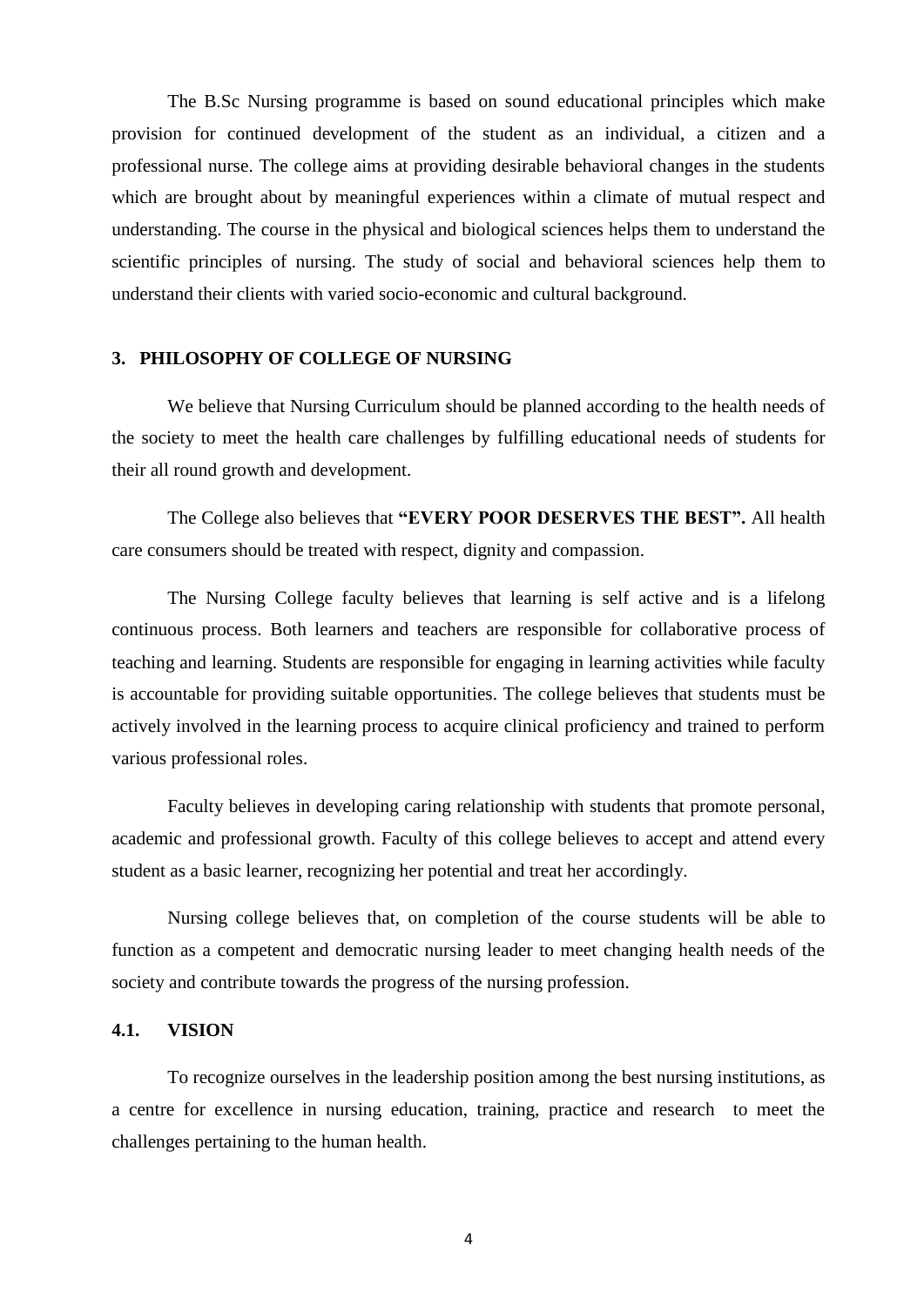The B.Sc Nursing programme is based on sound educational principles which make provision for continued development of the student as an individual, a citizen and a professional nurse. The college aims at providing desirable behavioral changes in the students which are brought about by meaningful experiences within a climate of mutual respect and understanding. The course in the physical and biological sciences helps them to understand the scientific principles of nursing. The study of social and behavioral sciences help them to understand their clients with varied socio-economic and cultural background.

#### **3. PHILOSOPHY OF COLLEGE OF NURSING**

We believe that Nursing Curriculum should be planned according to the health needs of the society to meet the health care challenges by fulfilling educational needs of students for their all round growth and development.

The College also believes that **"EVERY POOR DESERVES THE BEST".** All health care consumers should be treated with respect, dignity and compassion.

The Nursing College faculty believes that learning is self active and is a lifelong continuous process. Both learners and teachers are responsible for collaborative process of teaching and learning. Students are responsible for engaging in learning activities while faculty is accountable for providing suitable opportunities. The college believes that students must be actively involved in the learning process to acquire clinical proficiency and trained to perform various professional roles.

Faculty believes in developing caring relationship with students that promote personal, academic and professional growth. Faculty of this college believes to accept and attend every student as a basic learner, recognizing her potential and treat her accordingly.

Nursing college believes that, on completion of the course students will be able to function as a competent and democratic nursing leader to meet changing health needs of the society and contribute towards the progress of the nursing profession.

#### **4.1. VISION**

To recognize ourselves in the leadership position among the best nursing institutions, as a centre for excellence in nursing education, training, practice and research to meet the challenges pertaining to the human health.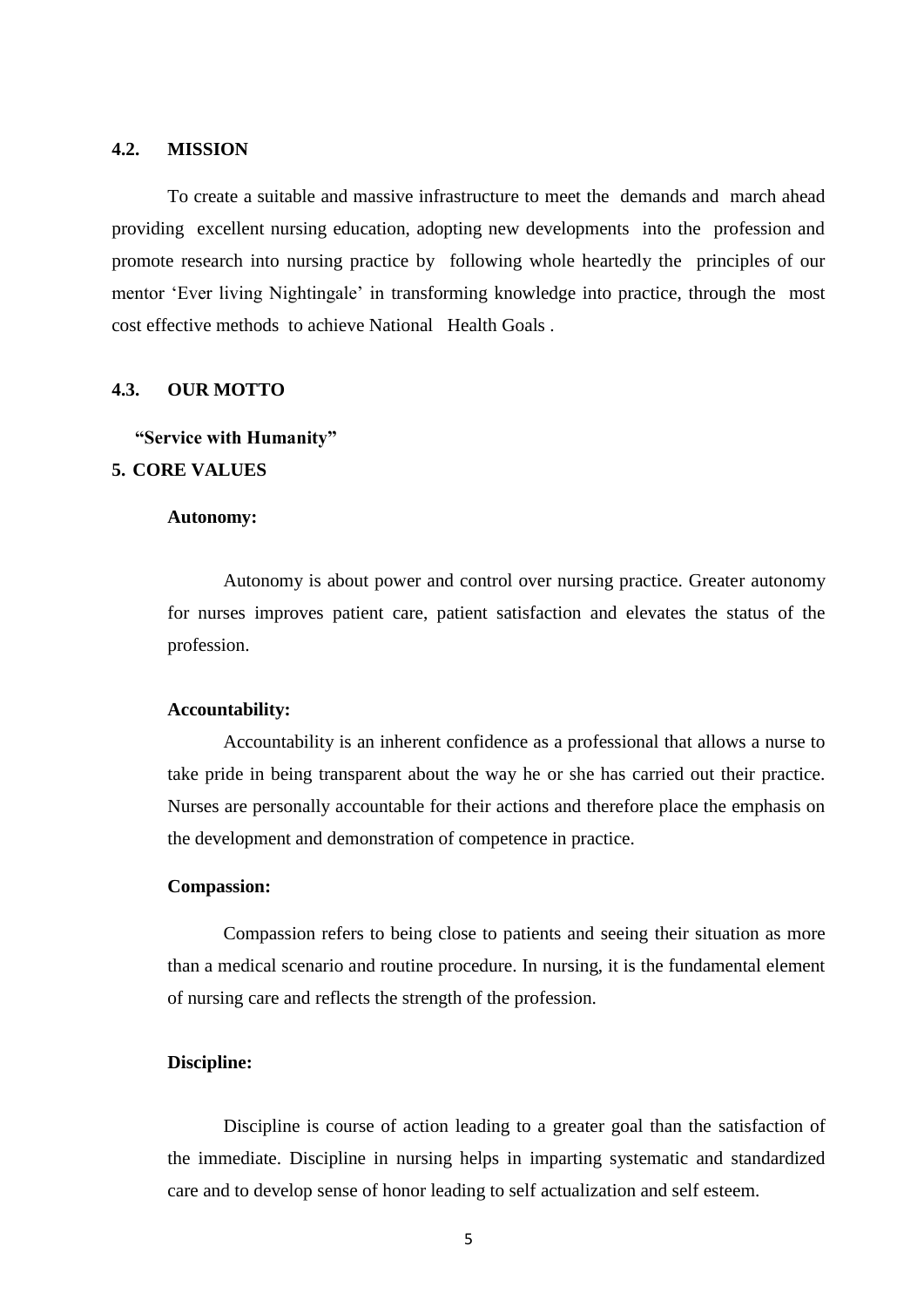#### **4.2. MISSION**

To create a suitable and massive infrastructure to meet the demands and march ahead providing excellent nursing education, adopting new developments into the profession and promote research into nursing practice by following whole heartedly the principles of our mentor 'Ever living Nightingale' in transforming knowledge into practice, through the most cost effective methods to achieve National Health Goals .

#### **4.3. OUR MOTTO**

## **"Service with Humanity" 5. CORE VALUES**

#### **Autonomy:**

Autonomy is about power and control over nursing practice. Greater autonomy for nurses improves patient care, patient satisfaction and elevates the status of the profession.

#### **Accountability:**

Accountability is an inherent confidence as a professional that allows a nurse to take pride in being transparent about the way he or she has carried out their practice. Nurses are personally accountable for their actions and therefore place the emphasis on the development and demonstration of competence in practice.

#### **Compassion:**

Compassion refers to being close to patients and seeing their situation as more than a medical scenario and routine procedure. In nursing, it is the fundamental element of nursing care and reflects the strength of the profession.

#### **Discipline:**

Discipline is course of action leading to a greater goal than the satisfaction of the immediate. Discipline in nursing helps in imparting systematic and standardized care and to develop sense of honor leading to self actualization and self esteem*.*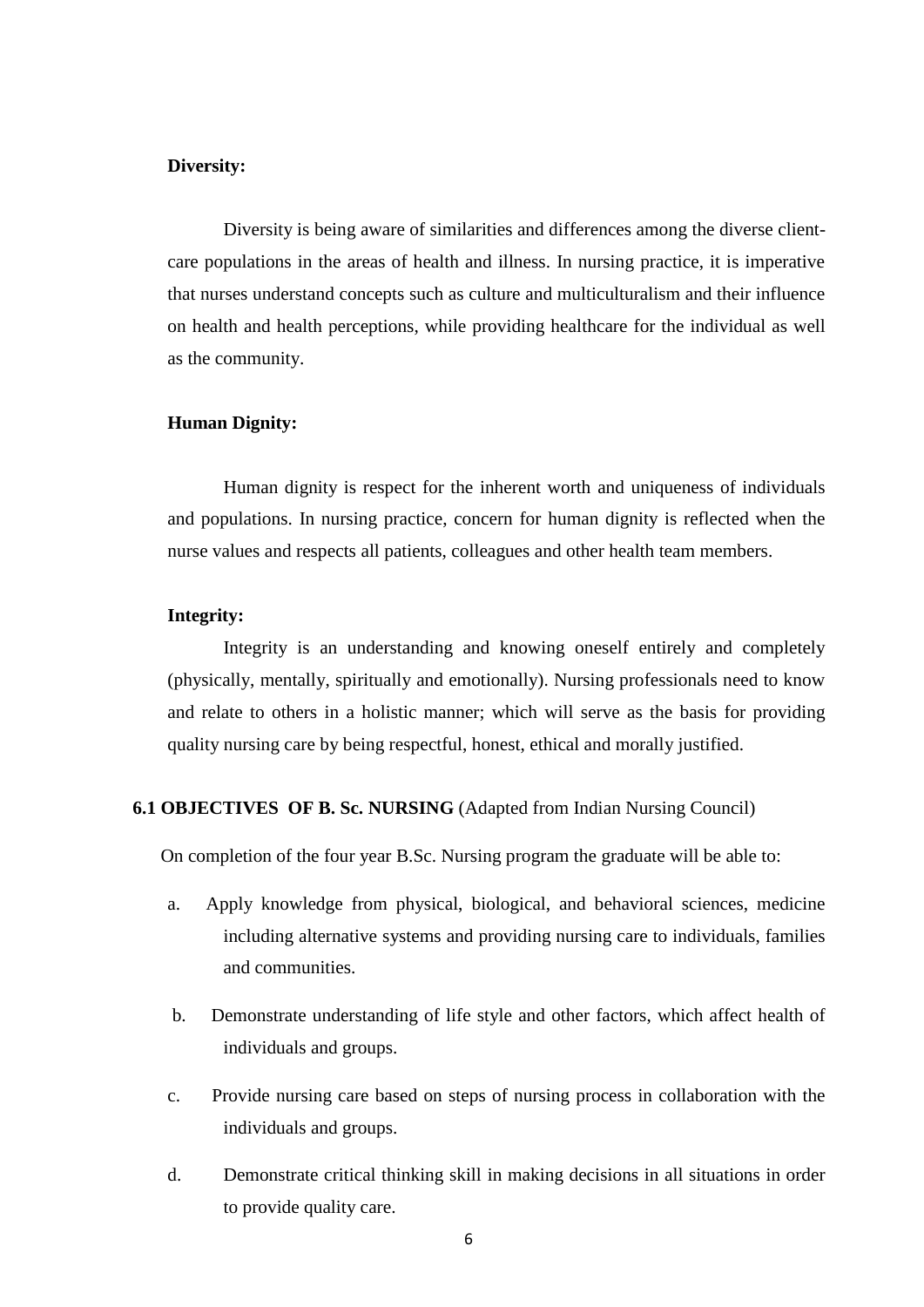#### **Diversity:**

Diversity is being aware of similarities and differences among the diverse clientcare populations in the areas of health and illness. In nursing practice, it is imperative that nurses understand concepts such as culture and multiculturalism and their influence on health and health perceptions, while providing healthcare for the individual as well as the community.

#### **Human Dignity:**

Human dignity is respect for the inherent worth and uniqueness of individuals and populations. In nursing practice, concern for human dignity is reflected when the nurse values and respects all patients, colleagues and other health team members.

#### **Integrity:**

Integrity is an understanding and knowing oneself entirely and completely (physically, mentally, spiritually and emotionally). Nursing professionals need to know and relate to others in a holistic manner; which will serve as the basis for providing quality nursing care by being respectful, honest, ethical and morally justified.

#### **6.1 OBJECTIVES OF B. Sc. NURSING** (Adapted from Indian Nursing Council)

On completion of the four year B.Sc. Nursing program the graduate will be able to:

- a. Apply knowledge from physical, biological, and behavioral sciences, medicine including alternative systems and providing nursing care to individuals, families and communities.
- b. Demonstrate understanding of life style and other factors, which affect health of individuals and groups.
- c. Provide nursing care based on steps of nursing process in collaboration with the individuals and groups.
- d. Demonstrate critical thinking skill in making decisions in all situations in order to provide quality care.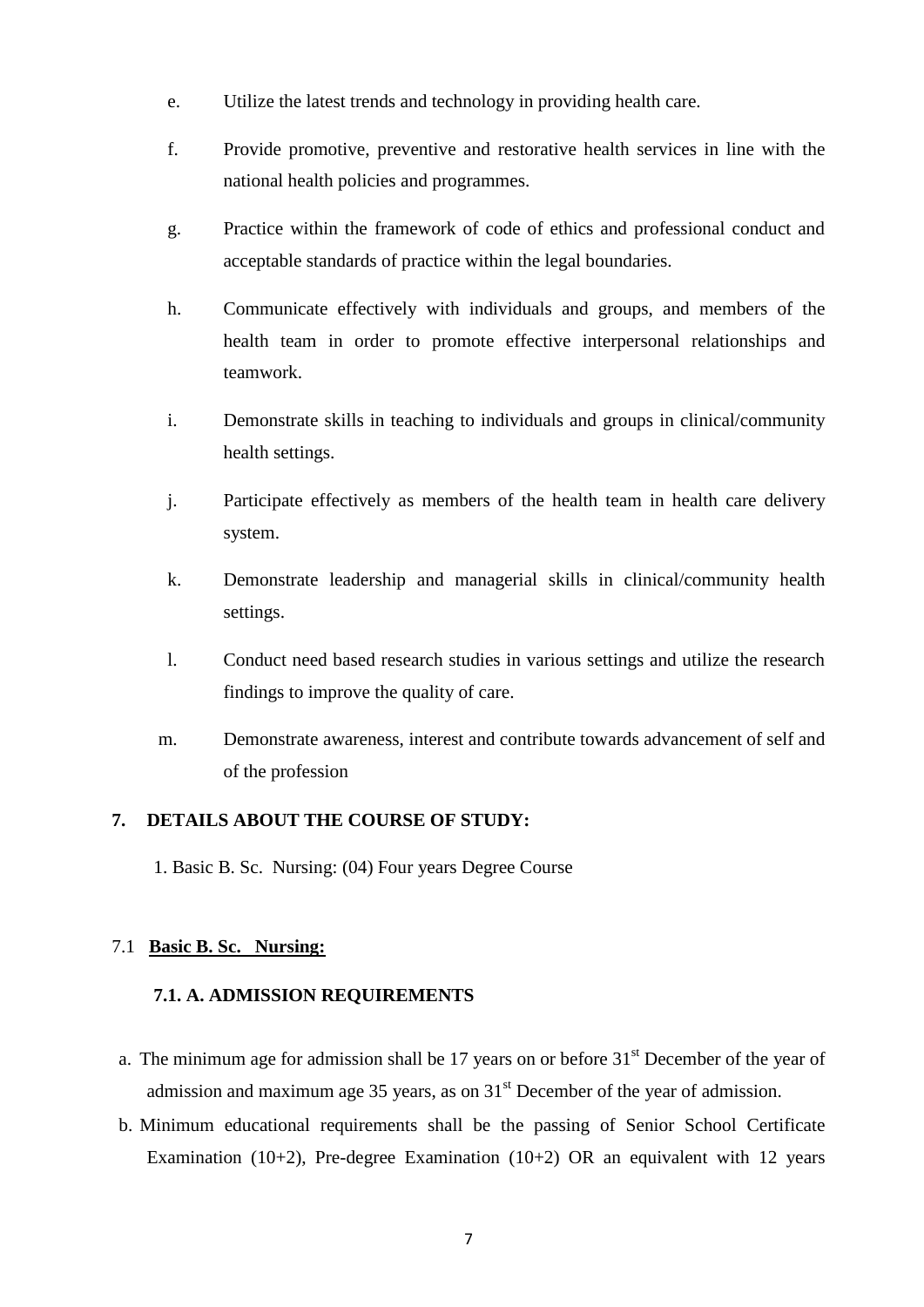- e. Utilize the latest trends and technology in providing health care.
- f. Provide promotive, preventive and restorative health services in line with the national health policies and programmes.
- g. Practice within the framework of code of ethics and professional conduct and acceptable standards of practice within the legal boundaries.
- h. Communicate effectively with individuals and groups, and members of the health team in order to promote effective interpersonal relationships and teamwork.
- i. Demonstrate skills in teaching to individuals and groups in clinical/community health settings.
- j. Participate effectively as members of the health team in health care delivery system.
- k. Demonstrate leadership and managerial skills in clinical/community health settings.
- l. Conduct need based research studies in various settings and utilize the research findings to improve the quality of care.
- m. Demonstrate awareness, interest and contribute towards advancement of self and of the profession

## **7. DETAILS ABOUT THE COURSE OF STUDY:**

1. Basic B. Sc. Nursing: (04) Four years Degree Course

#### 7.1 **Basic B. Sc. Nursing:**

#### **7.1. A. ADMISSION REQUIREMENTS**

- a. The minimum age for admission shall be 17 years on or before  $31<sup>st</sup>$  December of the year of admission and maximum age 35 years, as on  $31<sup>st</sup>$  December of the year of admission.
- b. Minimum educational requirements shall be the passing of Senior School Certificate Examination (10+2), Pre-degree Examination (10+2) OR an equivalent with 12 years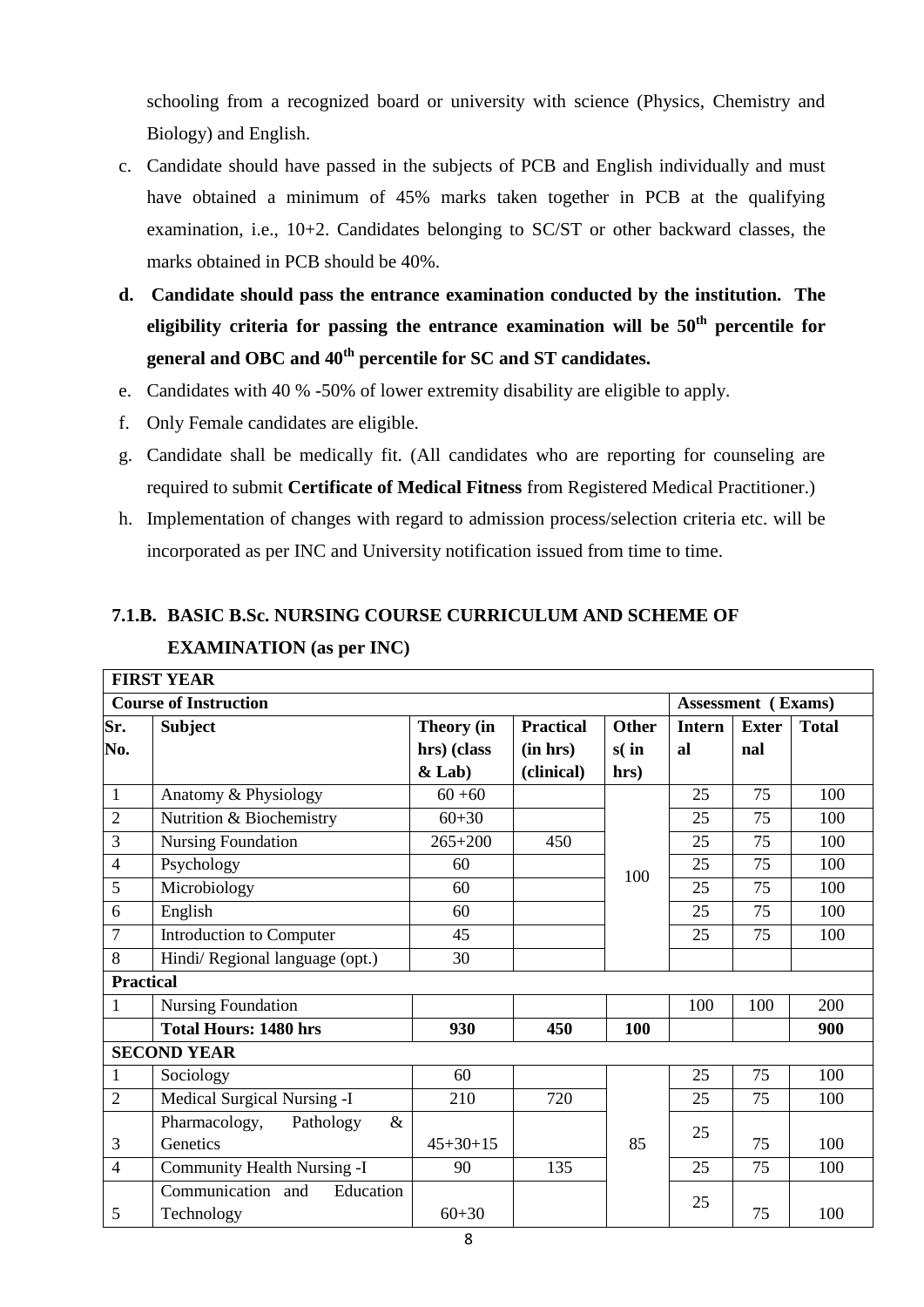schooling from a recognized board or university with science (Physics, Chemistry and Biology) and English.

- c. Candidate should have passed in the subjects of PCB and English individually and must have obtained a minimum of 45% marks taken together in PCB at the qualifying examination, i.e., 10+2. Candidates belonging to SC/ST or other backward classes, the marks obtained in PCB should be 40%.
- **d. Candidate should pass the entrance examination conducted by the institution. The eligibility criteria for passing the entrance examination will be 50th percentile for general and OBC and 40th percentile for SC and ST candidates.**
- e. Candidates with 40 % -50% of lower extremity disability are eligible to apply.
- f. Only Female candidates are eligible.
- g. Candidate shall be medically fit. (All candidates who are reporting for counseling are required to submit **Certificate of Medical Fitness** from Registered Medical Practitioner.)
- h. Implementation of changes with regard to admission process/selection criteria etc. will be incorporated as per INC and University notification issued from time to time.

# **7.1.B. BASIC B.Sc. NURSING COURSE CURRICULUM AND SCHEME OF EXAMINATION (as per INC)**

|                  | <b>FIRST YEAR</b>                  |                |                  |                  |               |                           |              |
|------------------|------------------------------------|----------------|------------------|------------------|---------------|---------------------------|--------------|
|                  | <b>Course of Instruction</b>       |                |                  |                  |               | <b>Assessment</b> (Exams) |              |
| Sr.              | <b>Subject</b>                     | Theory (in     | <b>Practical</b> | <b>Other</b>     | <b>Intern</b> | <b>Exter</b>              | <b>Total</b> |
| No.              |                                    | hrs) (class    | (in hrs)         | $s(\textbf{in})$ | al            | nal                       |              |
|                  |                                    | $&$ Lab)       | (clinical)       | hrs)             |               |                           |              |
| $\mathbf{1}$     | Anatomy & Physiology               | $60 + 60$      |                  |                  | 25            | 75                        | 100          |
| $\overline{2}$   | Nutrition & Biochemistry           | $60 + 30$      |                  |                  | 25            | 75                        | 100          |
| 3                | <b>Nursing Foundation</b>          | $265 + 200$    | 450              |                  | 25            | 75                        | 100          |
| $\overline{4}$   | Psychology                         | 60             |                  | 100              | 25            | 75                        | 100          |
| 5                | Microbiology                       | 60             |                  |                  | 25            | 75                        | 100          |
| 6                | English                            | 60             |                  |                  | 25            | 75                        | 100          |
| $\overline{7}$   | Introduction to Computer           | 45             |                  |                  | 25            | 75                        | 100          |
| 8                | Hindi/Regional language (opt.)     | 30             |                  |                  |               |                           |              |
| <b>Practical</b> |                                    |                |                  |                  |               |                           |              |
| $\mathbf{1}$     | <b>Nursing Foundation</b>          |                |                  |                  | 100           | 100                       | 200          |
|                  | <b>Total Hours: 1480 hrs</b>       | 930            | 450              | 100              |               |                           | 900          |
|                  | <b>SECOND YEAR</b>                 |                |                  |                  |               |                           |              |
| $\mathbf{1}$     | Sociology                          | 60             |                  |                  | 25            | 75                        | 100          |
| $\overline{2}$   | Medical Surgical Nursing -I        | 210            | 720              |                  | 25            | 75                        | 100          |
|                  | Pharmacology,<br>Pathology<br>$\&$ |                |                  |                  | 25            |                           |              |
| 3                | Genetics                           | $45 + 30 + 15$ |                  | 85               |               | 75                        | 100          |
| 4                | Community Health Nursing -I        | 90             | 135              |                  | 25            | 75                        | 100          |
|                  | Communication and<br>Education     |                |                  |                  | 25            |                           |              |
| 5                | Technology                         | $60 + 30$      |                  |                  |               | 75                        | 100          |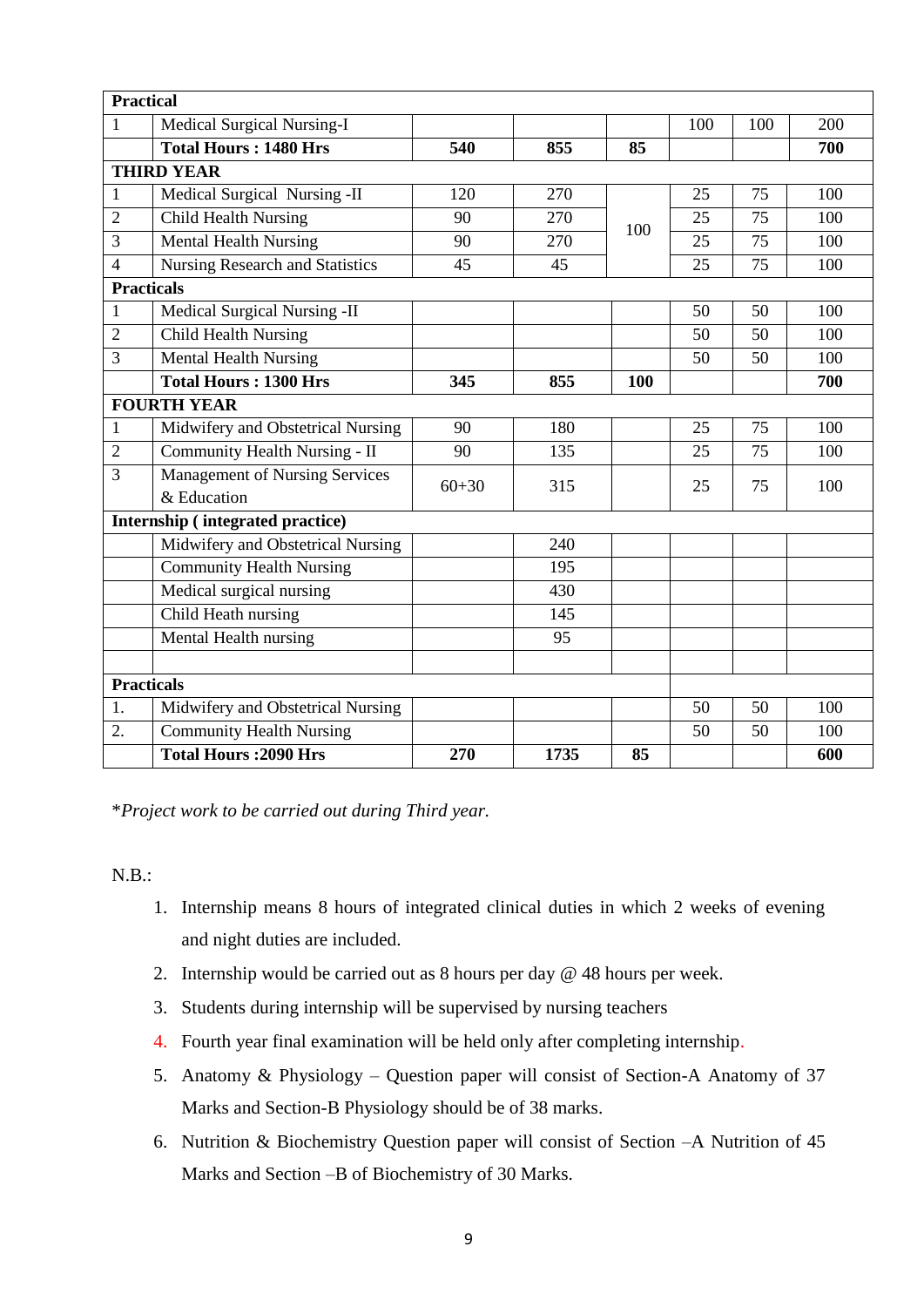| <b>Practical</b>  |                                         |           |      |     |     |     |     |
|-------------------|-----------------------------------------|-----------|------|-----|-----|-----|-----|
| $\mathbf{1}$      | Medical Surgical Nursing-I              |           |      |     | 100 | 100 | 200 |
|                   | <b>Total Hours: 1480 Hrs</b>            | 540       | 855  | 85  |     |     | 700 |
|                   | <b>THIRD YEAR</b>                       |           |      |     |     |     |     |
| 1                 | Medical Surgical Nursing -II            | 120       | 270  |     | 25  | 75  | 100 |
| $\overline{2}$    | <b>Child Health Nursing</b>             | 90        | 270  | 100 | 25  | 75  | 100 |
| 3                 | <b>Mental Health Nursing</b>            | 90        | 270  |     | 25  | 75  | 100 |
| $\overline{4}$    | <b>Nursing Research and Statistics</b>  | 45        | 45   |     | 25  | 75  | 100 |
| <b>Practicals</b> |                                         |           |      |     |     |     |     |
| $\mathbf{1}$      | Medical Surgical Nursing -II            |           |      |     | 50  | 50  | 100 |
| $\overline{2}$    | <b>Child Health Nursing</b>             |           |      |     | 50  | 50  | 100 |
| 3                 | <b>Mental Health Nursing</b>            |           |      |     | 50  | 50  | 100 |
|                   | <b>Total Hours: 1300 Hrs</b>            | 345       | 855  | 100 |     |     | 700 |
|                   | <b>FOURTH YEAR</b>                      |           |      |     |     |     |     |
| $\mathbf{1}$      | Midwifery and Obstetrical Nursing       | 90        | 180  |     | 25  | 75  | 100 |
| $\mathbf{2}$      | Community Health Nursing - II           | 90        | 135  |     | 25  | 75  | 100 |
| 3                 | <b>Management of Nursing Services</b>   | $60 + 30$ | 315  |     | 25  | 75  | 100 |
|                   | & Education                             |           |      |     |     |     |     |
|                   | <b>Internship (integrated practice)</b> |           |      |     |     |     |     |
|                   | Midwifery and Obstetrical Nursing       |           | 240  |     |     |     |     |
|                   | <b>Community Health Nursing</b>         |           | 195  |     |     |     |     |
|                   | Medical surgical nursing                |           | 430  |     |     |     |     |
|                   | Child Heath nursing                     |           | 145  |     |     |     |     |
|                   | Mental Health nursing                   |           | 95   |     |     |     |     |
|                   |                                         |           |      |     |     |     |     |
| <b>Practicals</b> |                                         |           |      |     |     |     |     |
| 1.                | Midwifery and Obstetrical Nursing       |           |      |     | 50  | 50  | 100 |
| 2.                | <b>Community Health Nursing</b>         |           |      |     | 50  | 50  | 100 |
|                   | <b>Total Hours: 2090 Hrs</b>            | 270       | 1735 | 85  |     |     | 600 |

\**Project work to be carried out during Third year.*

N.B.:

- 1. Internship means 8 hours of integrated clinical duties in which 2 weeks of evening and night duties are included.
- 2. Internship would be carried out as 8 hours per day @ 48 hours per week.
- 3. Students during internship will be supervised by nursing teachers
- 4. Fourth year final examination will be held only after completing internship.
- 5. Anatomy & Physiology Question paper will consist of Section-A Anatomy of 37 Marks and Section-B Physiology should be of 38 marks.
- 6. Nutrition & Biochemistry Question paper will consist of Section –A Nutrition of 45 Marks and Section –B of Biochemistry of 30 Marks.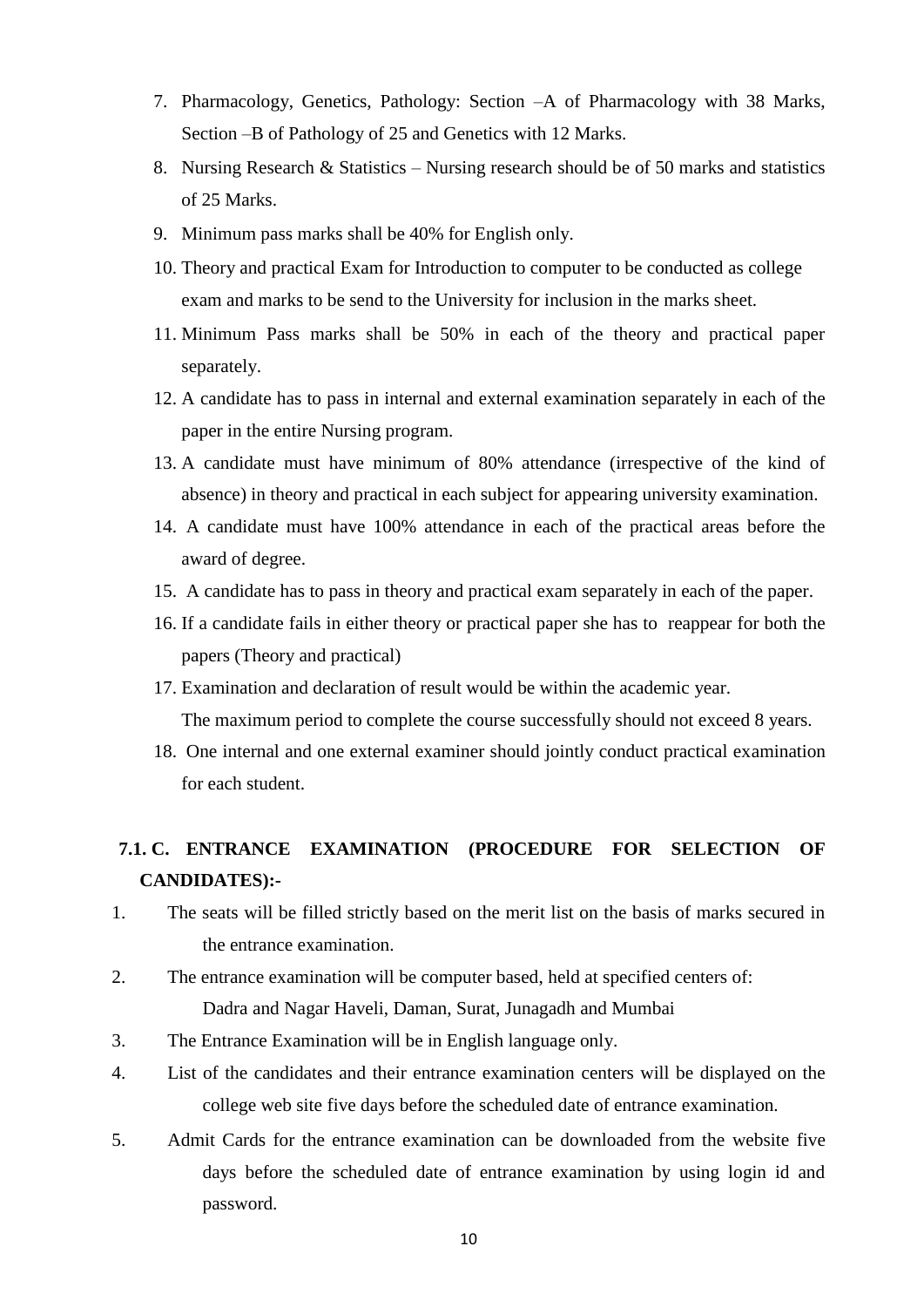- 7. Pharmacology, Genetics, Pathology: Section –A of Pharmacology with 38 Marks, Section –B of Pathology of 25 and Genetics with 12 Marks.
- 8. Nursing Research & Statistics Nursing research should be of 50 marks and statistics of 25 Marks.
- 9. Minimum pass marks shall be 40% for English only.
- 10. Theory and practical Exam for Introduction to computer to be conducted as college exam and marks to be send to the University for inclusion in the marks sheet.
- 11. Minimum Pass marks shall be 50% in each of the theory and practical paper separately.
- 12. A candidate has to pass in internal and external examination separately in each of the paper in the entire Nursing program.
- 13. A candidate must have minimum of 80% attendance (irrespective of the kind of absence) in theory and practical in each subject for appearing university examination.
- 14. A candidate must have 100% attendance in each of the practical areas before the award of degree.
- 15. A candidate has to pass in theory and practical exam separately in each of the paper.
- 16. If a candidate fails in either theory or practical paper she has to reappear for both the papers (Theory and practical)
- 17. Examination and declaration of result would be within the academic year. The maximum period to complete the course successfully should not exceed 8 years.
- 18. One internal and one external examiner should jointly conduct practical examination for each student.

# **7.1. C. ENTRANCE EXAMINATION (PROCEDURE FOR SELECTION OF CANDIDATES):-**

- 1. The seats will be filled strictly based on the merit list on the basis of marks secured in the entrance examination.
- 2. The entrance examination will be computer based, held at specified centers of: Dadra and Nagar Haveli, Daman, Surat, Junagadh and Mumbai
- 3. The Entrance Examination will be in English language only.
- 4. List of the candidates and their entrance examination centers will be displayed on the college web site five days before the scheduled date of entrance examination.
- 5. Admit Cards for the entrance examination can be downloaded from the website five days before the scheduled date of entrance examination by using login id and password.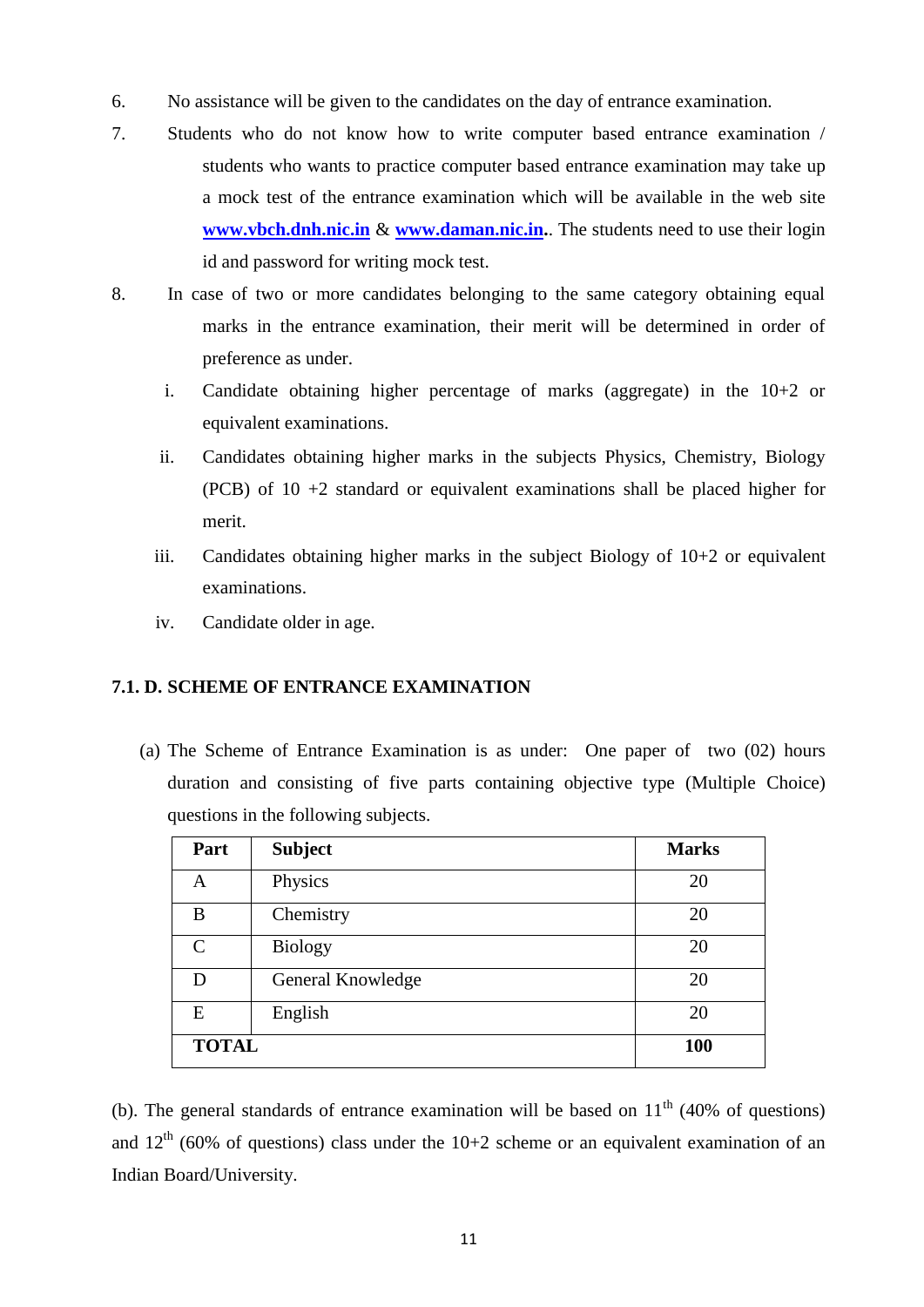- 6. No assistance will be given to the candidates on the day of entrance examination.
- 7. Students who do not know how to write computer based entrance examination / students who wants to practice computer based entrance examination may take up a mock test of the entrance examination which will be available in the web site **[www.vbch.dnh.nic.in](http://www.vbch.dnh.nic.in/)** & **[www.daman.nic.in.](http://www.dd.nic.in/)**. The students need to use their login id and password for writing mock test.
- 8. In case of two or more candidates belonging to the same category obtaining equal marks in the entrance examination, their merit will be determined in order of preference as under.
	- i. Candidate obtaining higher percentage of marks (aggregate) in the 10+2 or equivalent examinations.
	- ii. Candidates obtaining higher marks in the subjects Physics, Chemistry, Biology (PCB) of 10 +2 standard or equivalent examinations shall be placed higher for merit.
	- iii. Candidates obtaining higher marks in the subject Biology of 10+2 or equivalent examinations.
	- iv. Candidate older in age.

#### **7.1. D. SCHEME OF ENTRANCE EXAMINATION**

(a) The Scheme of Entrance Examination is as under: One paper of two (02) hours duration and consisting of five parts containing objective type (Multiple Choice) questions in the following subjects.

| Part         | <b>Subject</b>    | <b>Marks</b> |
|--------------|-------------------|--------------|
| A            | Physics           | 20           |
| B            | Chemistry         | 20           |
| $\mathsf{C}$ | Biology           | 20           |
| D            | General Knowledge | 20           |
| E            | English           | 20           |
| <b>TOTAL</b> |                   | 100          |

(b). The general standards of entrance examination will be based on  $11<sup>th</sup>$  (40% of questions) and  $12<sup>th</sup>$  (60% of questions) class under the 10+2 scheme or an equivalent examination of an Indian Board/University.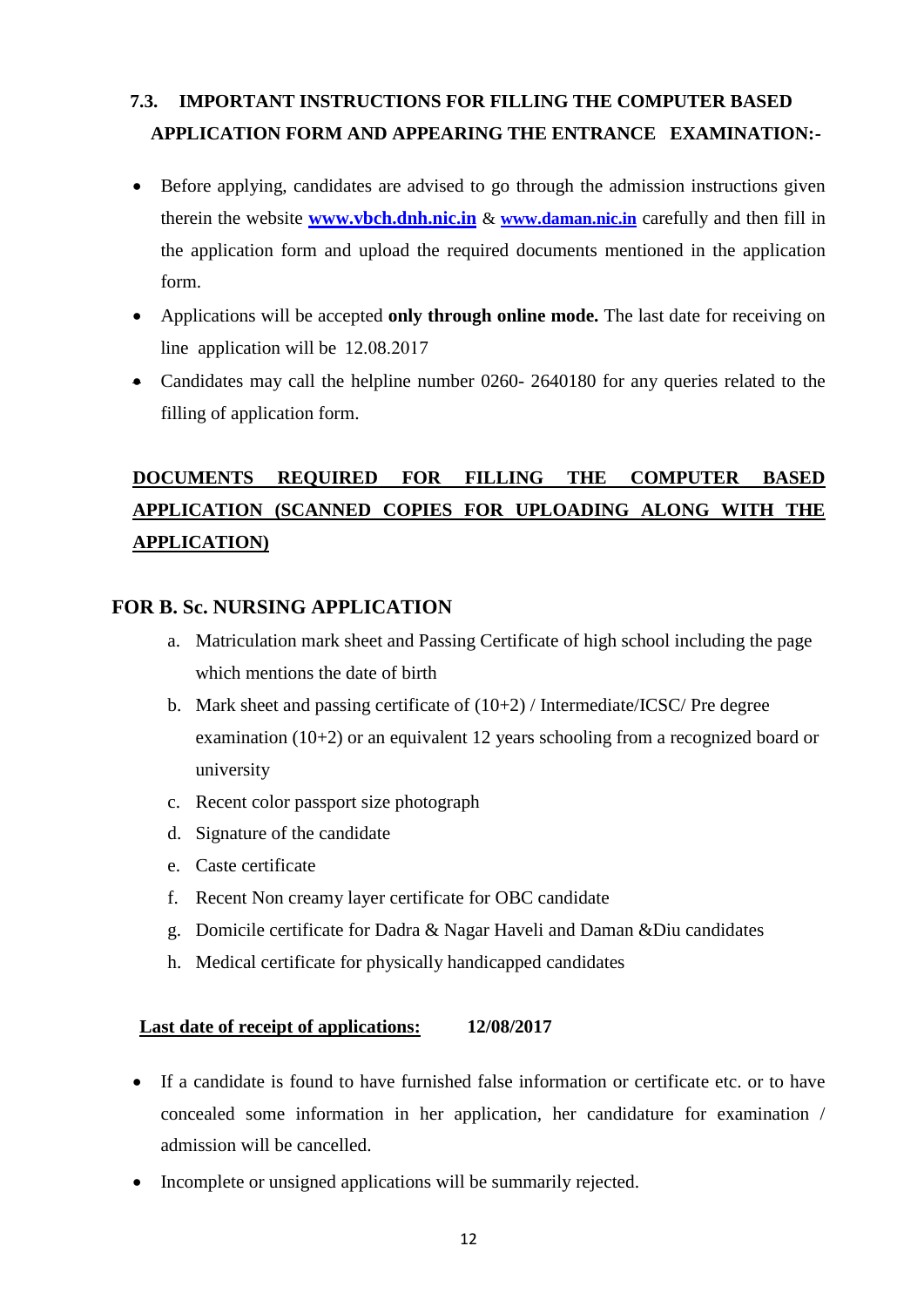# **7.3. IMPORTANT INSTRUCTIONS FOR FILLING THE COMPUTER BASED APPLICATION FORM AND APPEARING THE ENTRANCE EXAMINATION:-**

- Before applying, candidates are advised to go through the admission instructions given therein the website **[www.vbch.dnh.nic.in](http://www.vbch.dnh.nic.in/)** & **[www.daman.nic.in](http://www.dd.nic.in/)** carefully and then fill in the application form and upload the required documents mentioned in the application form.
- Applications will be accepted **only through online mode.** The last date for receiving on line application will be 12.08.2017
- Candidates may call the helpline number 0260- 2640180 for any queries related to the filling of application form.

# **DOCUMENTS REQUIRED FOR FILLING THE COMPUTER BASED APPLICATION (SCANNED COPIES FOR UPLOADING ALONG WITH THE APPLICATION)**

#### **FOR B. Sc. NURSING APPLICATION**

- a. Matriculation mark sheet and Passing Certificate of high school including the page which mentions the date of birth
- b. Mark sheet and passing certificate of  $(10+2)$  / Intermediate/ICSC/ Pre degree examination (10+2) or an equivalent 12 years schooling from a recognized board or university
- c. Recent color passport size photograph
- d. Signature of the candidate
- e. Caste certificate
- f. Recent Non creamy layer certificate for OBC candidate
- g. Domicile certificate for Dadra & Nagar Haveli and Daman &Diu candidates
- h. Medical certificate for physically handicapped candidates

#### **Last date of receipt of applications: 12/08/2017**

- If a candidate is found to have furnished false information or certificate etc. or to have concealed some information in her application, her candidature for examination / admission will be cancelled.
- Incomplete or unsigned applications will be summarily rejected.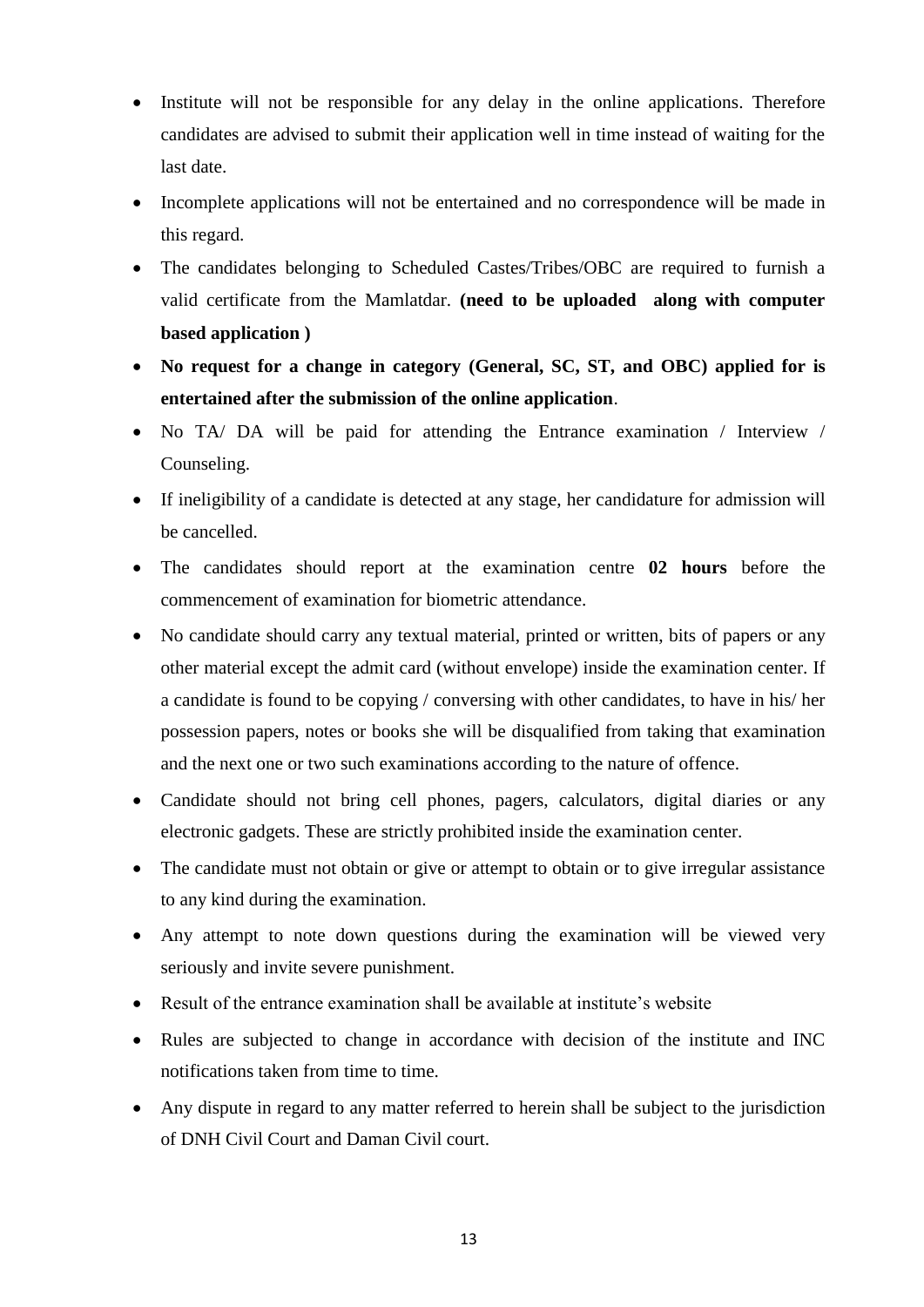- Institute will not be responsible for any delay in the online applications. Therefore candidates are advised to submit their application well in time instead of waiting for the last date.
- Incomplete applications will not be entertained and no correspondence will be made in this regard.
- The candidates belonging to Scheduled Castes/Tribes/OBC are required to furnish a valid certificate from the Mamlatdar. **(need to be uploaded along with computer based application )**
- **No request for a change in category (General, SC, ST, and OBC) applied for is entertained after the submission of the online application**.
- No TA/ DA will be paid for attending the Entrance examination / Interview / Counseling.
- If ineligibility of a candidate is detected at any stage, her candidature for admission will be cancelled.
- The candidates should report at the examination centre **02 hours** before the commencement of examination for biometric attendance.
- No candidate should carry any textual material, printed or written, bits of papers or any other material except the admit card (without envelope) inside the examination center. If a candidate is found to be copying / conversing with other candidates, to have in his/ her possession papers, notes or books she will be disqualified from taking that examination and the next one or two such examinations according to the nature of offence.
- Candidate should not bring cell phones, pagers, calculators, digital diaries or any electronic gadgets. These are strictly prohibited inside the examination center.
- The candidate must not obtain or give or attempt to obtain or to give irregular assistance to any kind during the examination.
- Any attempt to note down questions during the examination will be viewed very seriously and invite severe punishment.
- Result of the entrance examination shall be available at institute's website
- Rules are subjected to change in accordance with decision of the institute and INC notifications taken from time to time.
- Any dispute in regard to any matter referred to herein shall be subject to the jurisdiction of DNH Civil Court and Daman Civil court.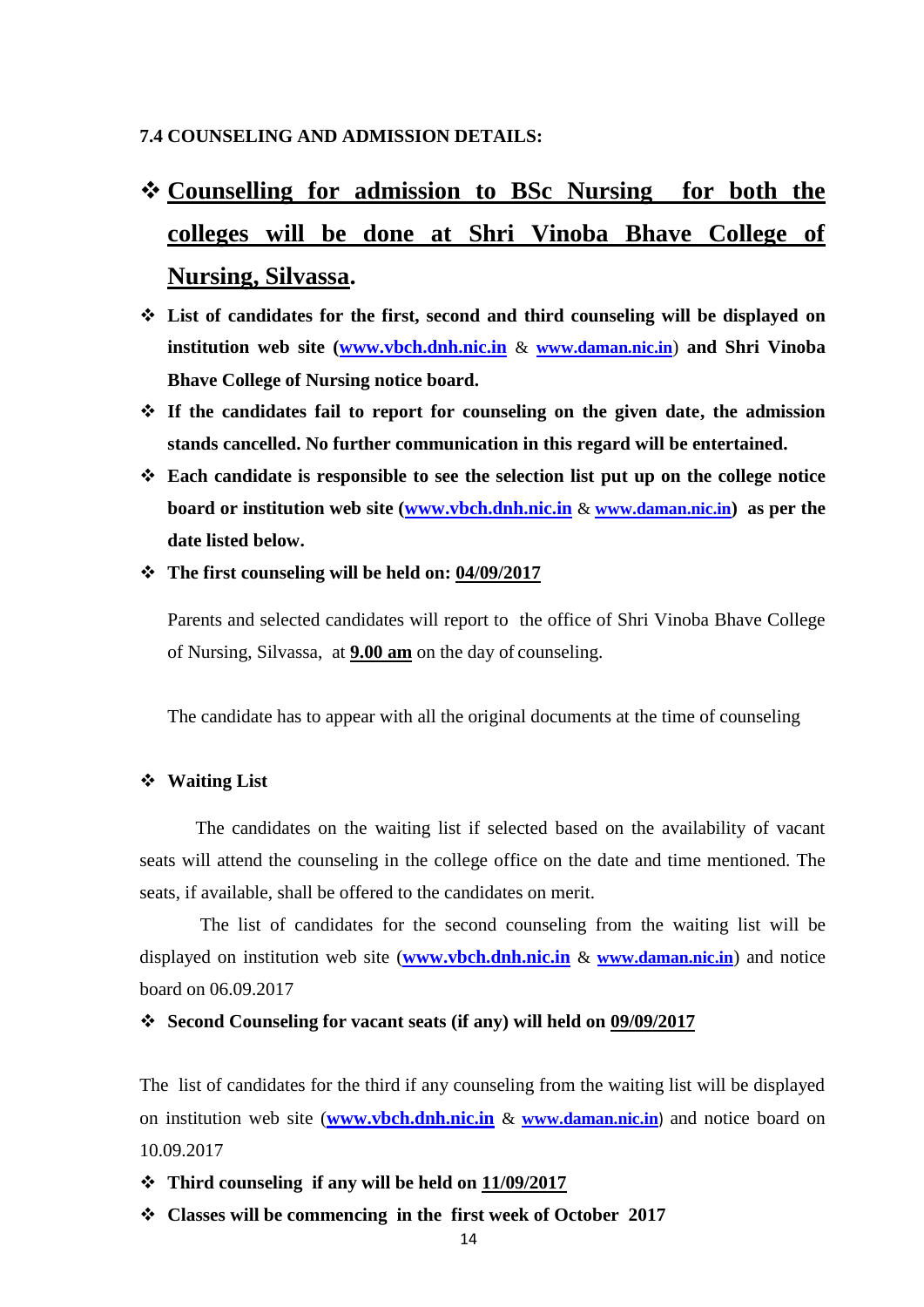#### **7.4 COUNSELING AND ADMISSION DETAILS:**

# **Counselling for admission to BSc Nursing for both the colleges will be done at Shri Vinoba Bhave College of Nursing, Silvassa.**

- **List of candidates for the first, second and third counseling will be displayed on institution web site [\(www.vbch.dnh.nic.in](http://www.vbch.dnh.nic.in/)** & **[www.daman.nic.in](http://www.dd.nic.in/)**) **and Shri Vinoba Bhave College of Nursing notice board.**
- **If the candidates fail to report for counseling on the given date, the admission stands cancelled. No further communication in this regard will be entertained.**
- **Each candidate is responsible to see the selection list put up on the college notice board or institution web site [\(www.vbch.dnh.nic.in](http://www.vbch.dnh.nic.in/)** & **[www.daman.nic.in](http://www.dd.nic.in/)) as per the date listed below.**
- **The first counseling will be held on: 04/09/2017**

Parents and selected candidates will report to the office of Shri Vinoba Bhave College of Nursing, Silvassa, at **9.00 am** on the day of counseling.

The candidate has to appear with all the original documents at the time of counseling

#### **Waiting List**

The candidates on the waiting list if selected based on the availability of vacant seats will attend the counseling in the college office on the date and time mentioned. The seats, if available, shall be offered to the candidates on merit.

The list of candidates for the second counseling from the waiting list will be displayed on institution web site (**[www.vbch.dnh.nic.in](http://www.vbch.dnh.nic.in/)** & **[www.daman.nic.in](http://www.dd.nic.in/)**) and notice board on 06.09.2017

#### **Second Counseling for vacant seats (if any) will held on 09/09/2017**

The list of candidates for the third if any counseling from the waiting list will be displayed on institution web site (**[www.vbch.dnh.nic.in](http://www.vbch.dnh.nic.in/)** & **[www.daman.nic.in](http://www.dd.nic.in/)**) and notice board on 10.09.2017

**Third counseling if any will be held on 11/09/2017**

**Classes will be commencing in the first week of October 2017**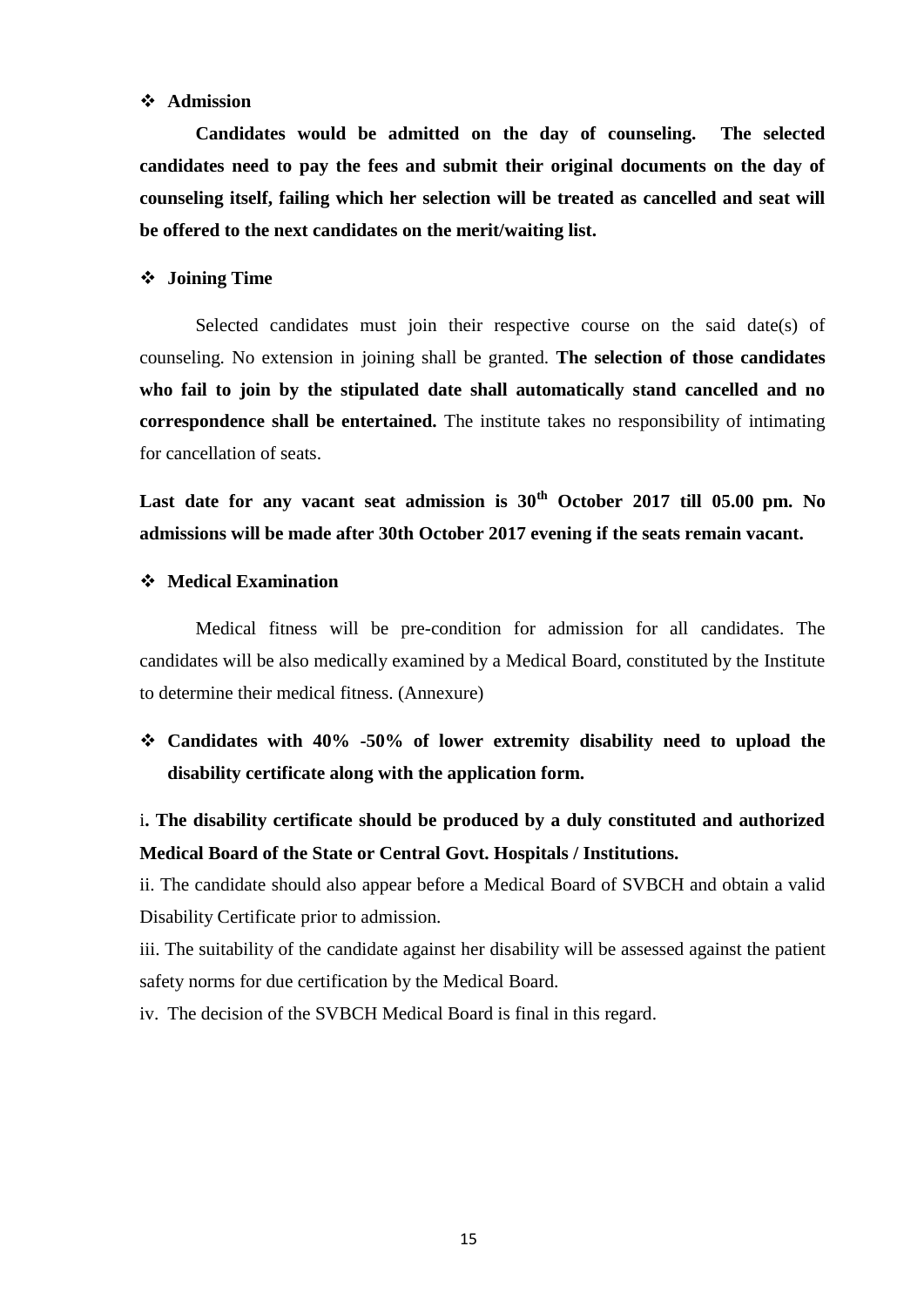#### **Admission**

**Candidates would be admitted on the day of counseling. The selected candidates need to pay the fees and submit their original documents on the day of counseling itself, failing which her selection will be treated as cancelled and seat will be offered to the next candidates on the merit/waiting list.**

#### **Joining Time**

Selected candidates must join their respective course on the said date(s) of counseling. No extension in joining shall be granted. **The selection of those candidates who fail to join by the stipulated date shall automatically stand cancelled and no correspondence shall be entertained.** The institute takes no responsibility of intimating for cancellation of seats.

**Last date for any vacant seat admission is 30th October 2017 till 05.00 pm. No admissions will be made after 30th October 2017 evening if the seats remain vacant.**

#### **Medical Examination**

Medical fitness will be pre-condition for admission for all candidates. The candidates will be also medically examined by a Medical Board, constituted by the Institute to determine their medical fitness. (Annexure)

 **Candidates with 40% -50% of lower extremity disability need to upload the disability certificate along with the application form.** 

i**. The disability certificate should be produced by a duly constituted and authorized Medical Board of the State or Central Govt. Hospitals / Institutions.**

ii. The candidate should also appear before a Medical Board of SVBCH and obtain a valid Disability Certificate prior to admission.

iii. The suitability of the candidate against her disability will be assessed against the patient safety norms for due certification by the Medical Board.

iv. The decision of the SVBCH Medical Board is final in this regard.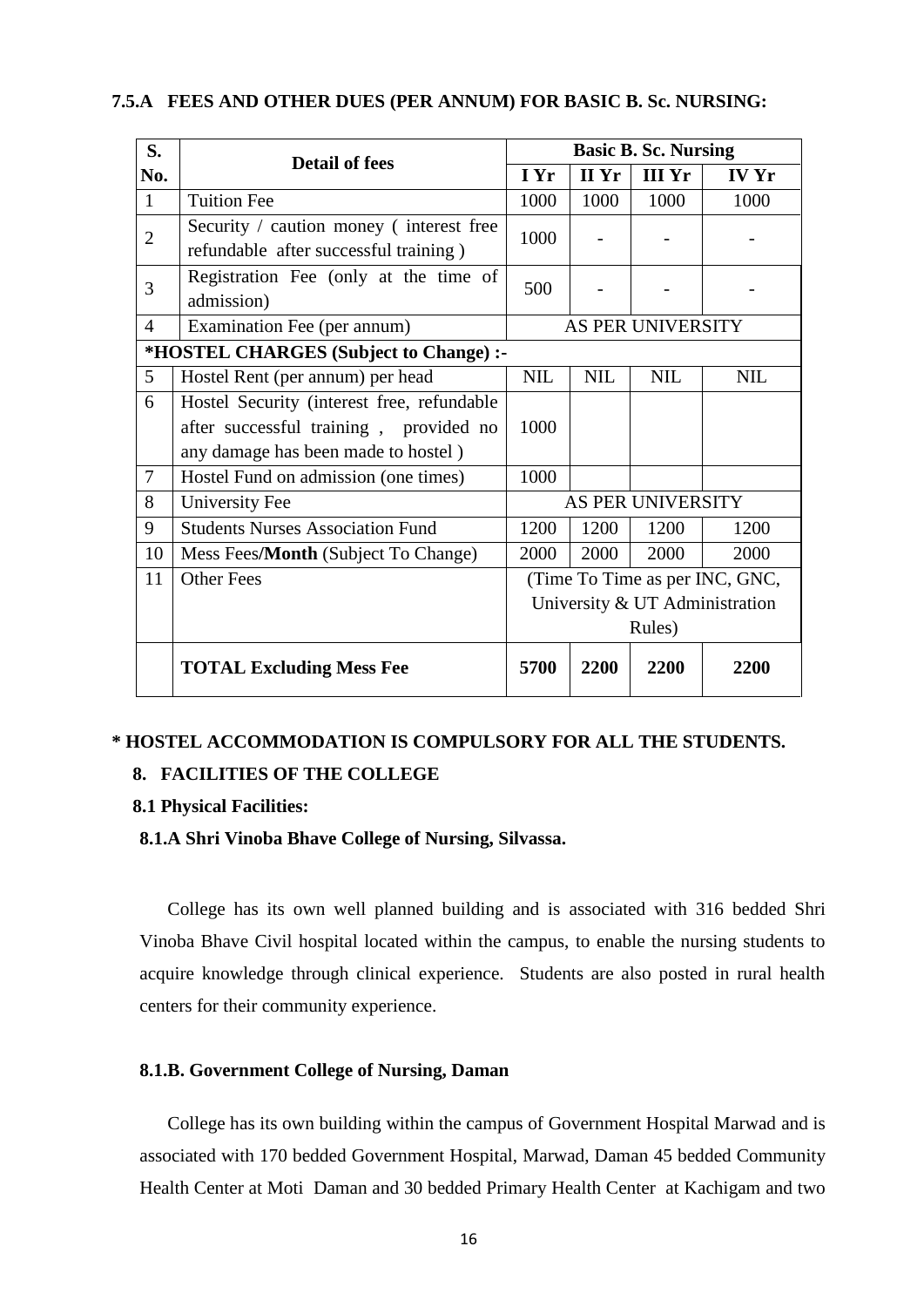| S.             | <b>Detail of fees</b>                                                            | <b>Basic B. Sc. Nursing</b>    |            |                   |              |
|----------------|----------------------------------------------------------------------------------|--------------------------------|------------|-------------------|--------------|
| No.            |                                                                                  |                                | II Yr      | <b>III</b> Yr     | <b>IV Yr</b> |
| $\mathbf{1}$   | <b>Tuition Fee</b>                                                               | 1000                           | 1000       | 1000              | 1000         |
| $\overline{2}$ | Security / caution money (interest free<br>refundable after successful training) | 1000                           |            |                   |              |
| 3              | Registration Fee (only at the time of<br>admission)                              |                                |            |                   |              |
| $\overline{4}$ | Examination Fee (per annum)                                                      | AS PER UNIVERSITY              |            |                   |              |
|                | *HOSTEL CHARGES (Subject to Change) :-                                           |                                |            |                   |              |
| 5              | Hostel Rent (per annum) per head                                                 | <b>NIL</b>                     | <b>NIL</b> | <b>NIL</b>        | <b>NIL</b>   |
| 6              | Hostel Security (interest free, refundable                                       |                                |            |                   |              |
|                | after successful training, provided no                                           | 1000                           |            |                   |              |
|                | any damage has been made to hostel)                                              |                                |            |                   |              |
| $\overline{7}$ | Hostel Fund on admission (one times)                                             | 1000                           |            |                   |              |
| 8              | University Fee                                                                   |                                |            | AS PER UNIVERSITY |              |
| 9              | <b>Students Nurses Association Fund</b>                                          | 1200                           | 1200       | 1200              | 1200         |
| 10             | Mess Fees/Month (Subject To Change)                                              | 2000                           | 2000       | 2000              | 2000         |
| 11             | <b>Other Fees</b>                                                                | (Time To Time as per INC, GNC, |            |                   |              |
|                |                                                                                  | University & UT Administration |            |                   |              |
|                |                                                                                  | Rules)                         |            |                   |              |
|                | <b>TOTAL Excluding Mess Fee</b>                                                  | 5700                           | 2200       | 2200              | 2200         |

#### **7.5.A FEES AND OTHER DUES (PER ANNUM) FOR BASIC B. Sc. NURSING:**

## **\* HOSTEL ACCOMMODATION IS COMPULSORY FOR ALL THE STUDENTS.**

#### **8. FACILITIES OF THE COLLEGE**

#### **8.1 Physical Facilities:**

#### **8.1.A Shri Vinoba Bhave College of Nursing, Silvassa.**

College has its own well planned building and is associated with 316 bedded Shri Vinoba Bhave Civil hospital located within the campus, to enable the nursing students to acquire knowledge through clinical experience. Students are also posted in rural health centers for their community experience.

#### **8.1.B. Government College of Nursing, Daman**

College has its own building within the campus of Government Hospital Marwad and is associated with 170 bedded Government Hospital, Marwad, Daman 45 bedded Community Health Center at Moti Daman and 30 bedded Primary Health Center at Kachigam and two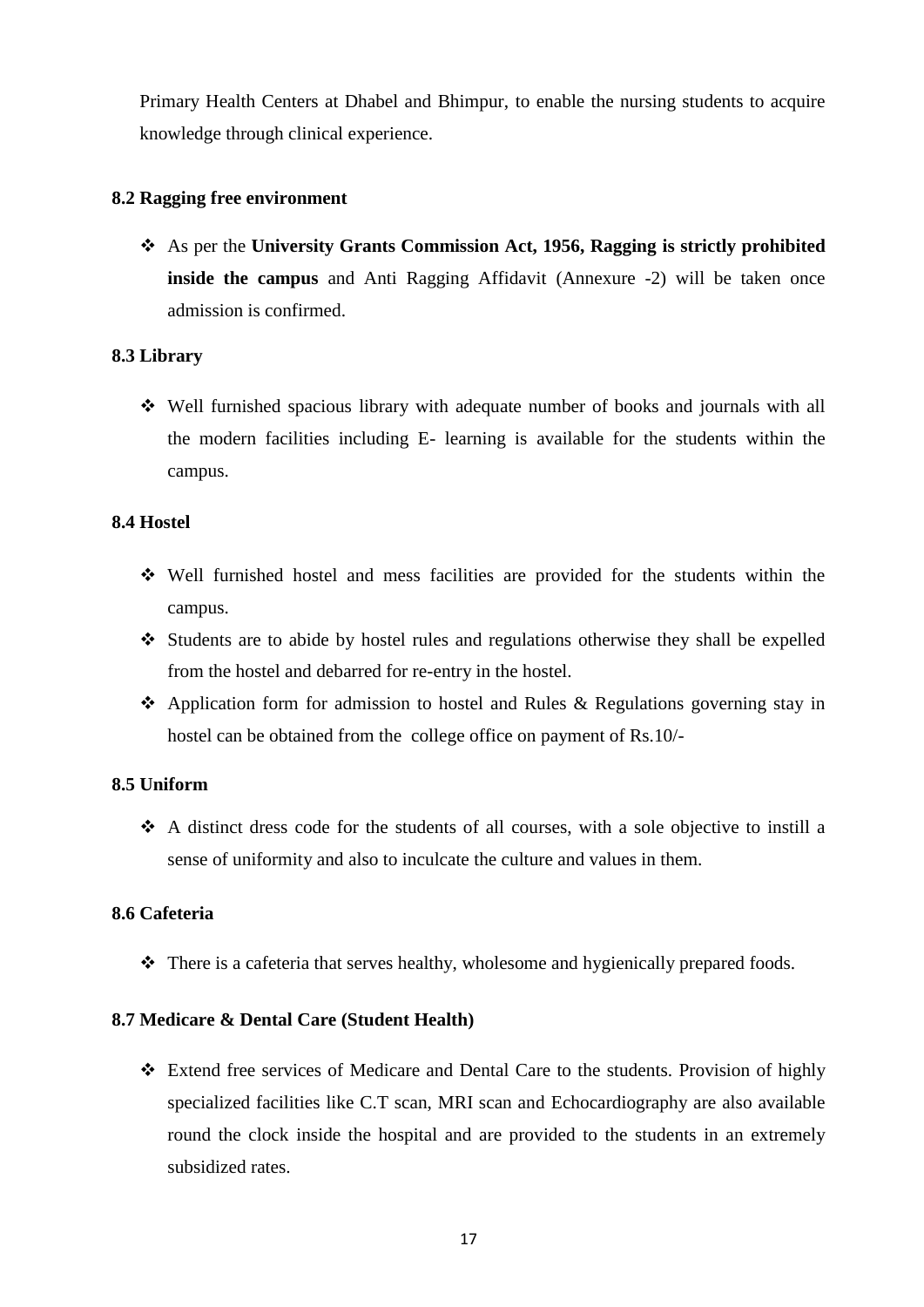Primary Health Centers at Dhabel and Bhimpur, to enable the nursing students to acquire knowledge through clinical experience.

#### **8.2 Ragging free environment**

 As per the **University Grants Commission Act, 1956, Ragging is strictly prohibited inside the campus** and Anti Ragging Affidavit (Annexure -2) will be taken once admission is confirmed.

#### **8.3 Library**

 Well furnished spacious library with adequate number of books and journals with all the modern facilities including E- learning is available for the students within the campus.

#### **8.4 Hostel**

- Well furnished hostel and mess facilities are provided for the students within the campus.
- $\triangle$  Students are to abide by hostel rules and regulations otherwise they shall be expelled from the hostel and debarred for re-entry in the hostel.
- Application form for admission to hostel and Rules & Regulations governing stay in hostel can be obtained from the college office on payment of Rs.10/-

#### **8.5 Uniform**

 A distinct dress code for the students of all courses, with a sole objective to instill a sense of uniformity and also to inculcate the culture and values in them.

#### **8.6 Cafeteria**

 $\triangle$  There is a cafeteria that serves healthy, wholesome and hygienically prepared foods.

#### **8.7 Medicare & Dental Care (Student Health)**

 Extend free services of Medicare and Dental Care to the students. Provision of highly specialized facilities like C.T scan, MRI scan and Echocardiography are also available round the clock inside the hospital and are provided to the students in an extremely subsidized rates.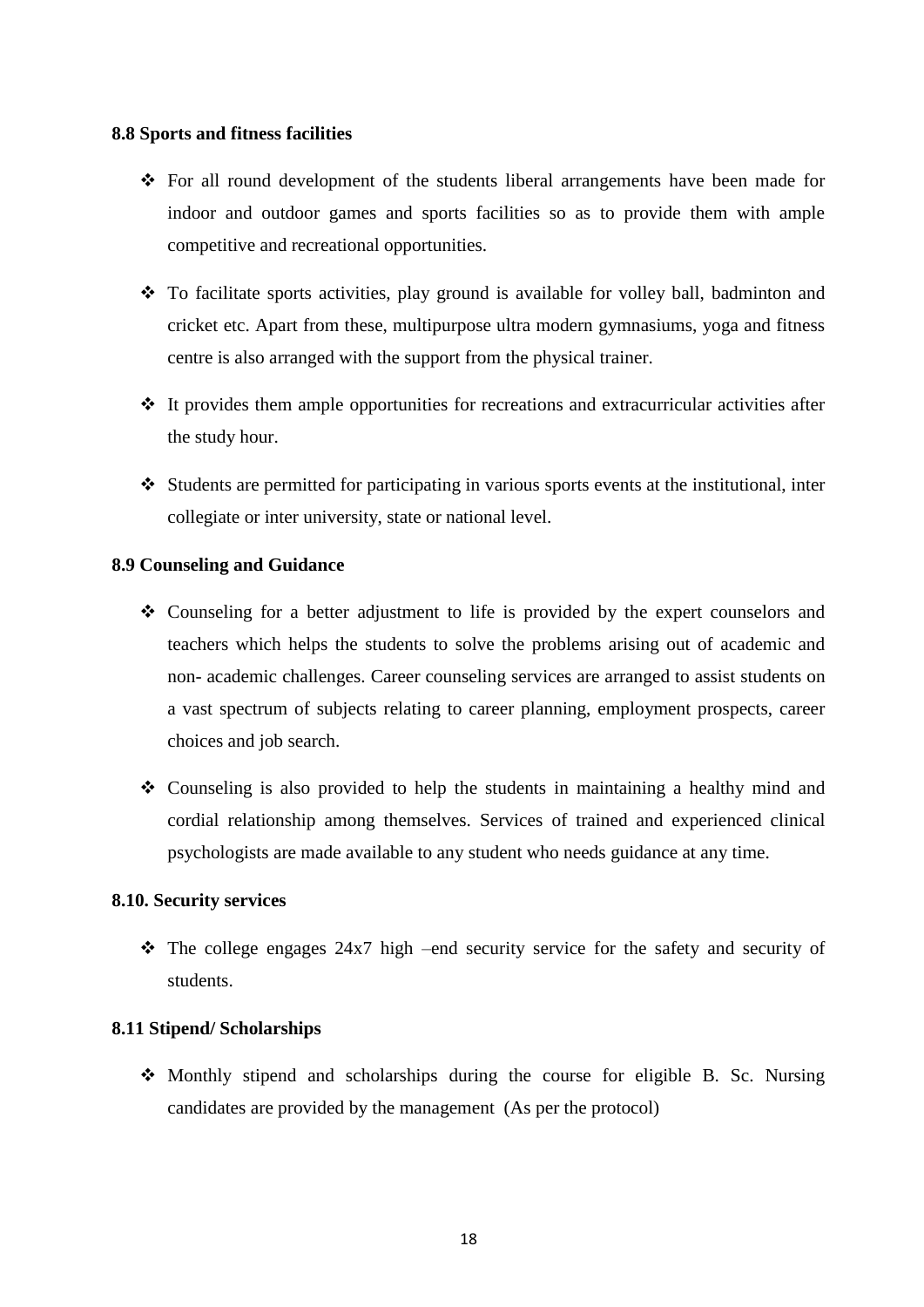#### **8.8 Sports and fitness facilities**

- For all round development of the students liberal arrangements have been made for indoor and outdoor games and sports facilities so as to provide them with ample competitive and recreational opportunities.
- \* To facilitate sports activities, play ground is available for volley ball, badminton and cricket etc. Apart from these, multipurpose ultra modern gymnasiums, yoga and fitness centre is also arranged with the support from the physical trainer.
- $\cdot \cdot$  It provides them ample opportunities for recreations and extracurricular activities after the study hour.
- $\triangleleft$  Students are permitted for participating in various sports events at the institutional, inter collegiate or inter university, state or national level.

#### **8.9 Counseling and Guidance**

- Counseling for a better adjustment to life is provided by the expert counselors and teachers which helps the students to solve the problems arising out of academic and non- academic challenges. Career counseling services are arranged to assist students on a vast spectrum of subjects relating to career planning, employment prospects, career choices and job search.
- Counseling is also provided to help the students in maintaining a healthy mind and cordial relationship among themselves. Services of trained and experienced clinical psychologists are made available to any student who needs guidance at any time.

#### **8.10. Security services**

 $\cdot \cdot$  The college engages 24x7 high –end security service for the safety and security of students.

#### **8.11 Stipend/ Scholarships**

 $\triangle$  Monthly stipend and scholarships during the course for eligible B. Sc. Nursing candidates are provided by the management (As per the protocol)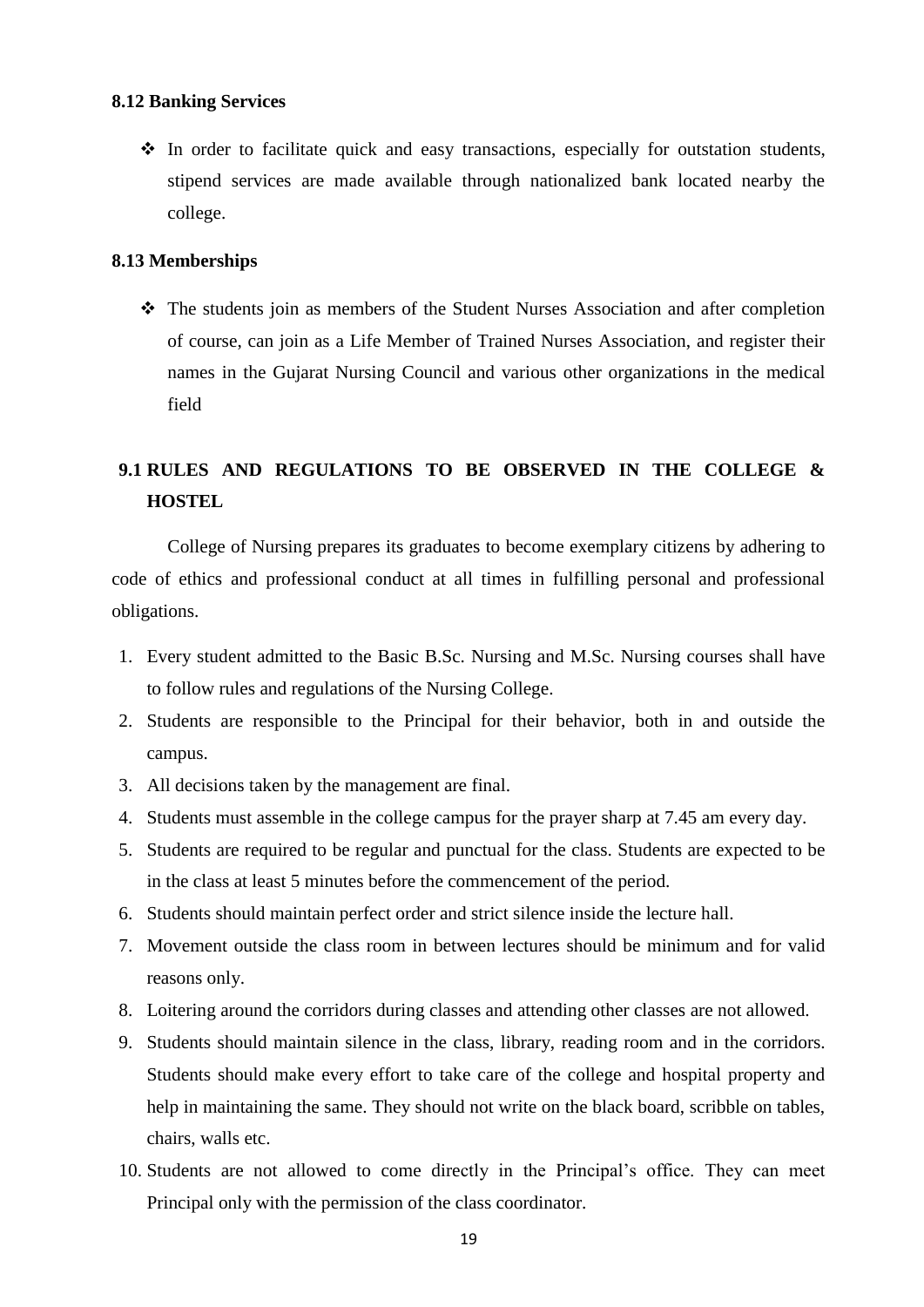#### **8.12 Banking Services**

 $\cdot \cdot$  In order to facilitate quick and easy transactions, especially for outstation students, stipend services are made available through nationalized bank located nearby the college.

#### **8.13 Memberships**

 The students join as members of the Student Nurses Association and after completion of course, can join as a Life Member of Trained Nurses Association, and register their names in the Gujarat Nursing Council and various other organizations in the medical field

# **9.1 RULES AND REGULATIONS TO BE OBSERVED IN THE COLLEGE & HOSTEL**

College of Nursing prepares its graduates to become exemplary citizens by adhering to code of ethics and professional conduct at all times in fulfilling personal and professional obligations.

- 1. Every student admitted to the Basic B.Sc. Nursing and M.Sc. Nursing courses shall have to follow rules and regulations of the Nursing College.
- 2. Students are responsible to the Principal for their behavior, both in and outside the campus.
- 3. All decisions taken by the management are final.
- 4. Students must assemble in the college campus for the prayer sharp at 7.45 am every day.
- 5. Students are required to be regular and punctual for the class. Students are expected to be in the class at least 5 minutes before the commencement of the period.
- 6. Students should maintain perfect order and strict silence inside the lecture hall.
- 7. Movement outside the class room in between lectures should be minimum and for valid reasons only.
- 8. Loitering around the corridors during classes and attending other classes are not allowed.
- 9. Students should maintain silence in the class, library, reading room and in the corridors. Students should make every effort to take care of the college and hospital property and help in maintaining the same. They should not write on the black board, scribble on tables, chairs, walls etc.
- 10. Students are not allowed to come directly in the Principal's office. They can meet Principal only with the permission of the class coordinator.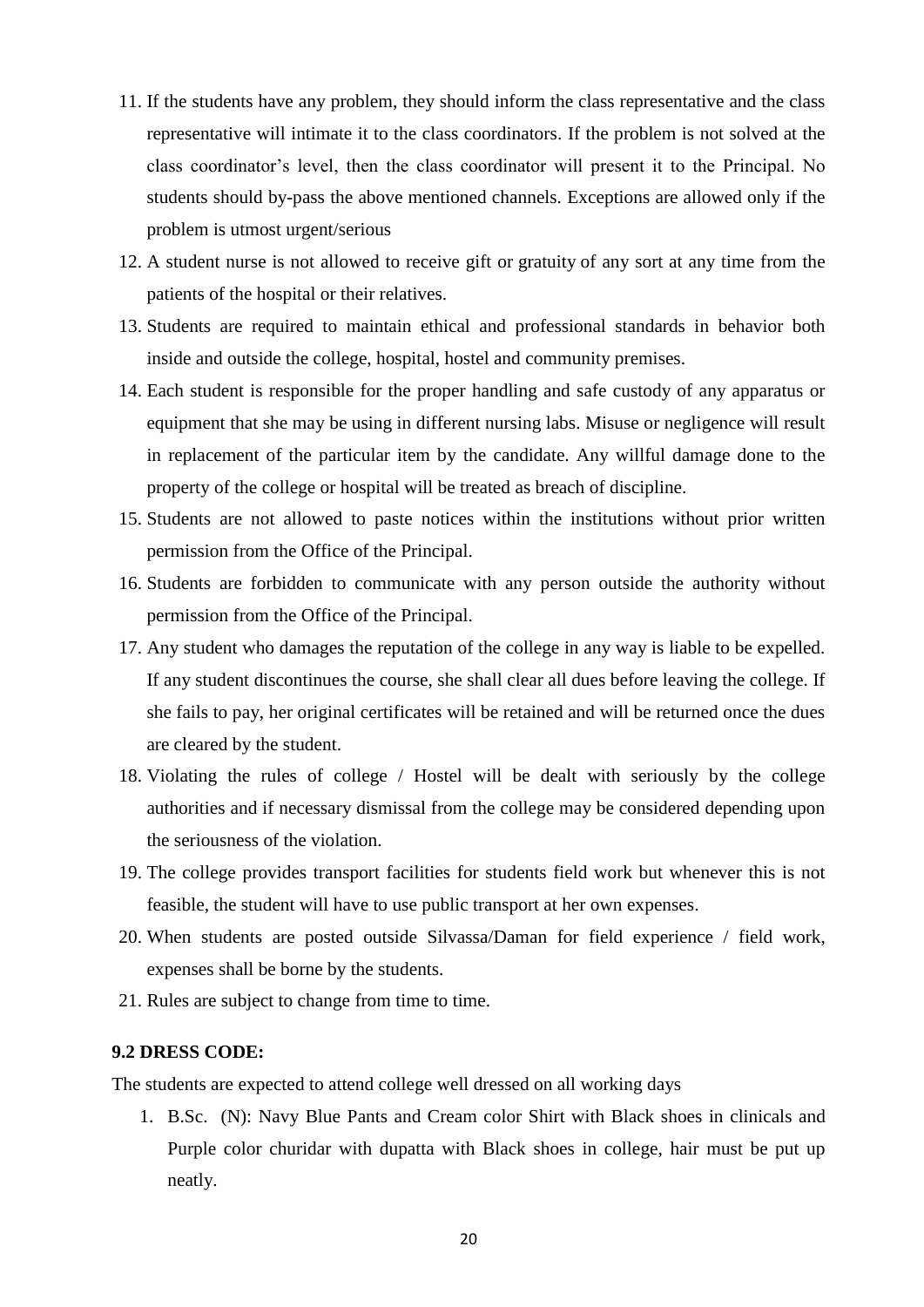- 11. If the students have any problem, they should inform the class representative and the class representative will intimate it to the class coordinators. If the problem is not solved at the class coordinator's level, then the class coordinator will present it to the Principal. No students should by-pass the above mentioned channels. Exceptions are allowed only if the problem is utmost urgent/serious
- 12. A student nurse is not allowed to receive gift or gratuity of any sort at any time from the patients of the hospital or their relatives.
- 13. Students are required to maintain ethical and professional standards in behavior both inside and outside the college, hospital, hostel and community premises.
- 14. Each student is responsible for the proper handling and safe custody of any apparatus or equipment that she may be using in different nursing labs. Misuse or negligence will result in replacement of the particular item by the candidate. Any willful damage done to the property of the college or hospital will be treated as breach of discipline.
- 15. Students are not allowed to paste notices within the institutions without prior written permission from the Office of the Principal.
- 16. Students are forbidden to communicate with any person outside the authority without permission from the Office of the Principal.
- 17. Any student who damages the reputation of the college in any way is liable to be expelled. If any student discontinues the course, she shall clear all dues before leaving the college. If she fails to pay, her original certificates will be retained and will be returned once the dues are cleared by the student.
- 18. Violating the rules of college / Hostel will be dealt with seriously by the college authorities and if necessary dismissal from the college may be considered depending upon the seriousness of the violation.
- 19. The college provides transport facilities for students field work but whenever this is not feasible, the student will have to use public transport at her own expenses.
- 20. When students are posted outside Silvassa/Daman for field experience / field work, expenses shall be borne by the students.
- 21. Rules are subject to change from time to time.

#### **9.2 DRESS CODE:**

The students are expected to attend college well dressed on all working days

1. B.Sc. (N): Navy Blue Pants and Cream color Shirt with Black shoes in clinicals and Purple color churidar with dupatta with Black shoes in college, hair must be put up neatly.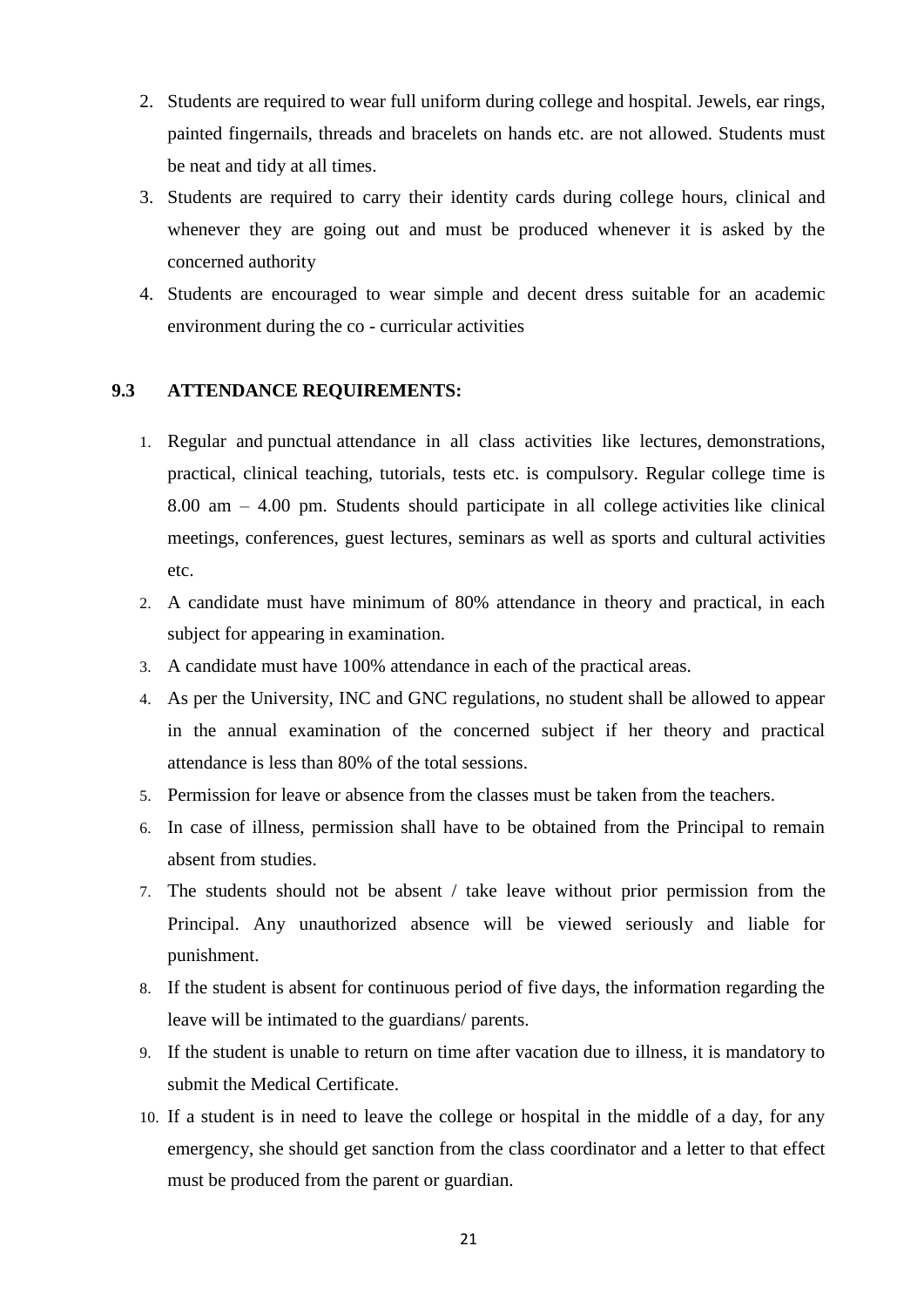- 2. Students are required to wear full uniform during college and hospital. Jewels, ear rings, painted fingernails, threads and bracelets on hands etc. are not allowed. Students must be neat and tidy at all times.
- 3. Students are required to carry their identity cards during college hours, clinical and whenever they are going out and must be produced whenever it is asked by the concerned authority
- 4. Students are encouraged to wear simple and decent dress suitable for an academic environment during the co - curricular activities

#### **9.3 ATTENDANCE REQUIREMENTS:**

- 1. Regular and punctual attendance in all class activities like lectures, demonstrations, practical, clinical teaching, tutorials, tests etc. is compulsory. Regular college time is 8.00 am – 4.00 pm. Students should participate in all college activities like clinical meetings, conferences, guest lectures, seminars as well as sports and cultural activities etc.
- 2. A candidate must have minimum of 80% attendance in theory and practical, in each subject for appearing in examination.
- 3. A candidate must have 100% attendance in each of the practical areas.
- 4. As per the University, INC and GNC regulations, no student shall be allowed to appear in the annual examination of the concerned subject if her theory and practical attendance is less than 80% of the total sessions.
- 5. Permission for leave or absence from the classes must be taken from the teachers.
- 6. In case of illness, permission shall have to be obtained from the Principal to remain absent from studies.
- 7. The students should not be absent / take leave without prior permission from the Principal. Any unauthorized absence will be viewed seriously and liable for punishment.
- 8. If the student is absent for continuous period of five days, the information regarding the leave will be intimated to the guardians/ parents.
- 9. If the student is unable to return on time after vacation due to illness, it is mandatory to submit the Medical Certificate.
- 10. If a student is in need to leave the college or hospital in the middle of a day, for any emergency, she should get sanction from the class coordinator and a letter to that effect must be produced from the parent or guardian.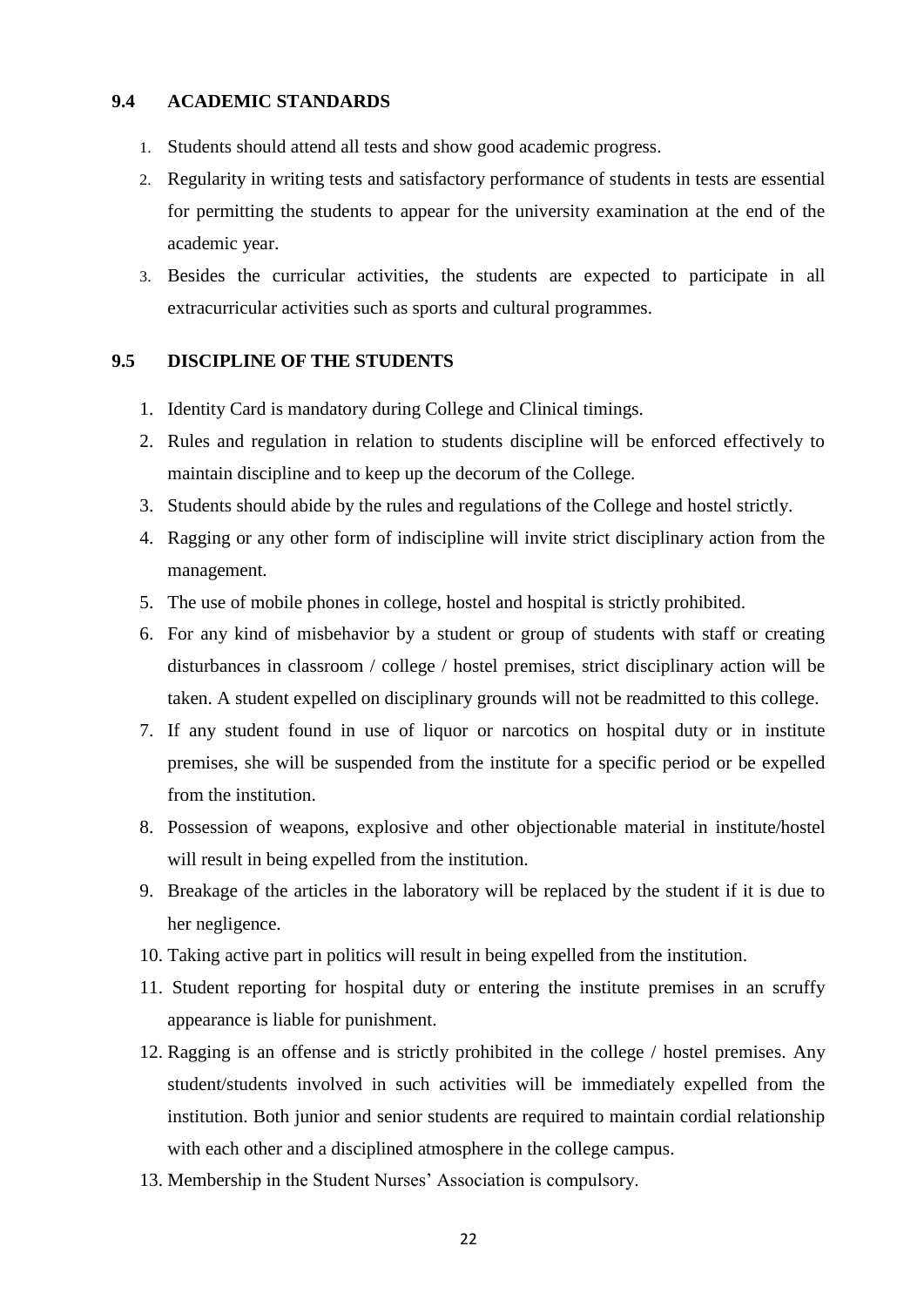#### **9.4 ACADEMIC STANDARDS**

- 1. Students should attend all tests and show good academic progress.
- 2. Regularity in writing tests and satisfactory performance of students in tests are essential for permitting the students to appear for the university examination at the end of the academic year.
- 3. Besides the curricular activities, the students are expected to participate in all extracurricular activities such as sports and cultural programmes.

#### **9.5 DISCIPLINE OF THE STUDENTS**

- 1. Identity Card is mandatory during College and Clinical timings.
- 2. Rules and regulation in relation to students discipline will be enforced effectively to maintain discipline and to keep up the decorum of the College.
- 3. Students should abide by the rules and regulations of the College and hostel strictly.
- 4. Ragging or any other form of indiscipline will invite strict disciplinary action from the management.
- 5. The use of mobile phones in college, hostel and hospital is strictly prohibited.
- 6. For any kind of misbehavior by a student or group of students with staff or creating disturbances in classroom / college / hostel premises, strict disciplinary action will be taken. A student expelled on disciplinary grounds will not be readmitted to this college.
- 7. If any student found in use of liquor or narcotics on hospital duty or in institute premises, she will be suspended from the institute for a specific period or be expelled from the institution.
- 8. Possession of weapons, explosive and other objectionable material in institute/hostel will result in being expelled from the institution.
- 9. Breakage of the articles in the laboratory will be replaced by the student if it is due to her negligence.
- 10. Taking active part in politics will result in being expelled from the institution.
- 11. Student reporting for hospital duty or entering the institute premises in an scruffy appearance is liable for punishment.
- 12. Ragging is an offense and is strictly prohibited in the college / hostel premises. Any student/students involved in such activities will be immediately expelled from the institution. Both junior and senior students are required to maintain cordial relationship with each other and a disciplined atmosphere in the college campus.
- 13. Membership in the Student Nurses' Association is compulsory.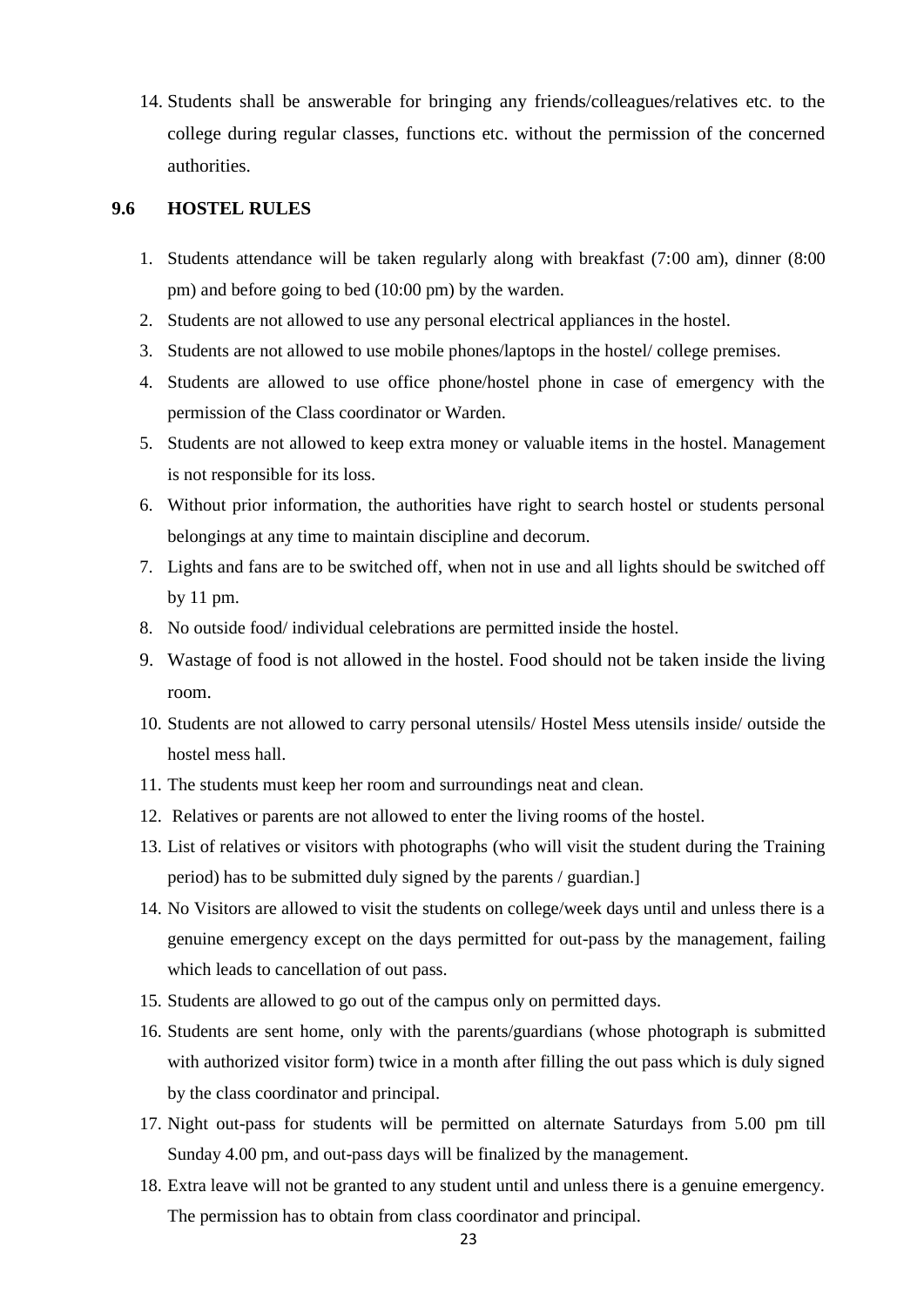14. Students shall be answerable for bringing any friends/colleagues/relatives etc. to the college during regular classes, functions etc. without the permission of the concerned authorities.

#### **9.6 HOSTEL RULES**

- 1. Students attendance will be taken regularly along with breakfast (7:00 am), dinner (8:00 pm) and before going to bed (10:00 pm) by the warden.
- 2. Students are not allowed to use any personal electrical appliances in the hostel.
- 3. Students are not allowed to use mobile phones/laptops in the hostel/ college premises.
- 4. Students are allowed to use office phone/hostel phone in case of emergency with the permission of the Class coordinator or Warden.
- 5. Students are not allowed to keep extra money or valuable items in the hostel. Management is not responsible for its loss.
- 6. Without prior information, the authorities have right to search hostel or students personal belongings at any time to maintain discipline and decorum.
- 7. Lights and fans are to be switched off, when not in use and all lights should be switched off by 11 pm.
- 8. No outside food/ individual celebrations are permitted inside the hostel.
- 9. Wastage of food is not allowed in the hostel. Food should not be taken inside the living room.
- 10. Students are not allowed to carry personal utensils/ Hostel Mess utensils inside/ outside the hostel mess hall.
- 11. The students must keep her room and surroundings neat and clean.
- 12. Relatives or parents are not allowed to enter the living rooms of the hostel.
- 13. List of relatives or visitors with photographs (who will visit the student during the Training period) has to be submitted duly signed by the parents / guardian.]
- 14. No Visitors are allowed to visit the students on college/week days until and unless there is a genuine emergency except on the days permitted for out-pass by the management, failing which leads to cancellation of out pass.
- 15. Students are allowed to go out of the campus only on permitted days.
- 16. Students are sent home, only with the parents/guardians (whose photograph is submitted with authorized visitor form) twice in a month after filling the out pass which is duly signed by the class coordinator and principal.
- 17. Night out-pass for students will be permitted on alternate Saturdays from 5.00 pm till Sunday 4.00 pm, and out-pass days will be finalized by the management.
- 18. Extra leave will not be granted to any student until and unless there is a genuine emergency. The permission has to obtain from class coordinator and principal.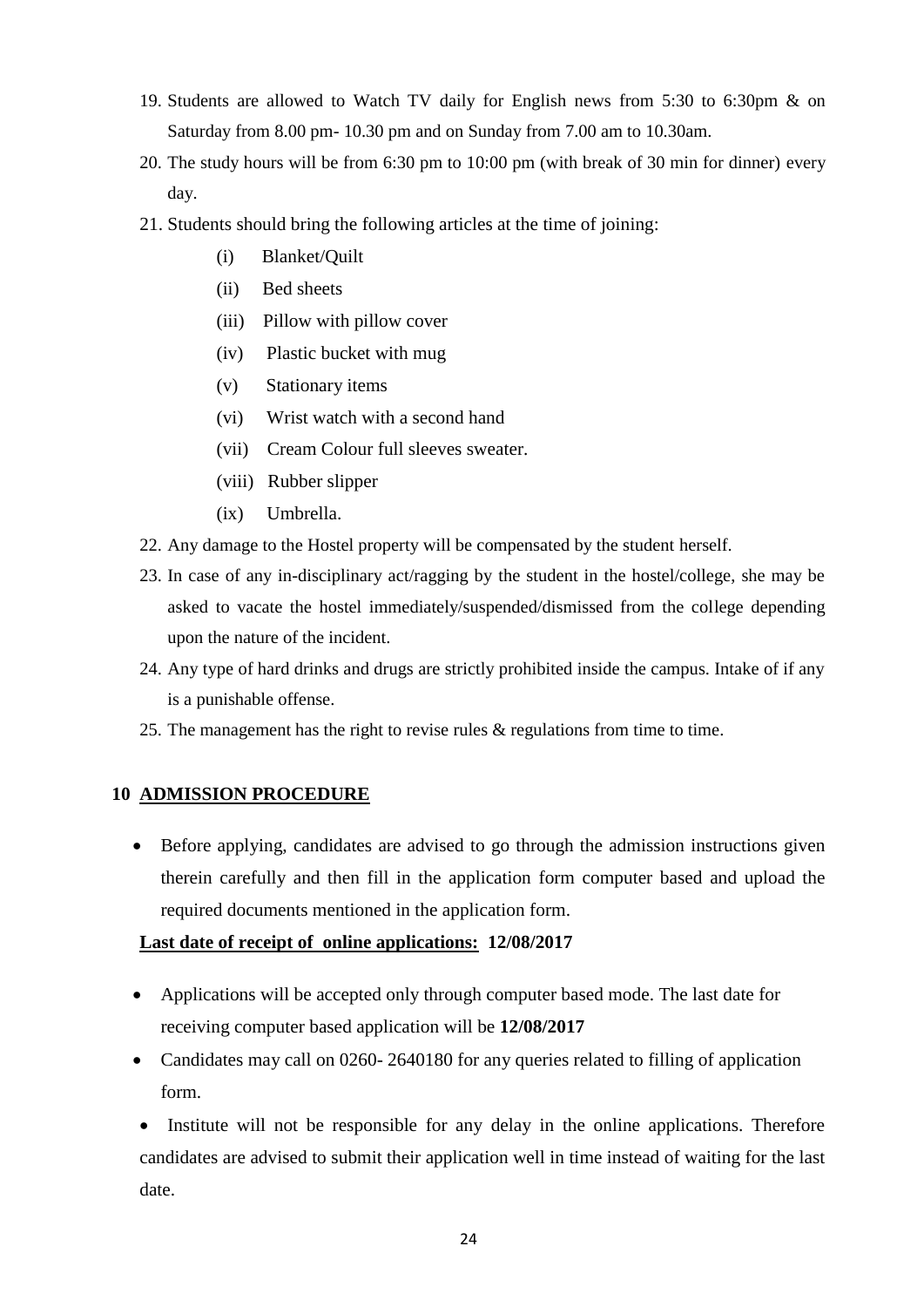- 19. Students are allowed to Watch TV daily for English news from 5:30 to 6:30pm & on Saturday from 8.00 pm- 10.30 pm and on Sunday from 7.00 am to 10.30am.
- 20. The study hours will be from 6:30 pm to 10:00 pm (with break of 30 min for dinner) every day.
- 21. Students should bring the following articles at the time of joining:
	- (i) Blanket/Quilt
	- (ii) Bed sheets
	- (iii) Pillow with pillow cover
	- (iv) Plastic bucket with mug
	- (v) Stationary items
	- (vi) Wrist watch with a second hand
	- (vii) Cream Colour full sleeves sweater.
	- (viii) Rubber slipper
	- (ix) Umbrella.
- 22. Any damage to the Hostel property will be compensated by the student herself.
- 23. In case of any in-disciplinary act/ragging by the student in the hostel/college, she may be asked to vacate the hostel immediately/suspended/dismissed from the college depending upon the nature of the incident.
- 24. Any type of hard drinks and drugs are strictly prohibited inside the campus. Intake of if any is a punishable offense.
- 25. The management has the right to revise rules & regulations from time to time.

## **10 ADMISSION PROCEDURE**

 Before applying, candidates are advised to go through the admission instructions given therein carefully and then fill in the application form computer based and upload the required documents mentioned in the application form.

#### **Last date of receipt of online applications: 12/08/2017**

- Applications will be accepted only through computer based mode. The last date for receiving computer based application will be **12/08/2017**
- Candidates may call on 0260-2640180 for any queries related to filling of application form.

• Institute will not be responsible for any delay in the online applications. Therefore candidates are advised to submit their application well in time instead of waiting for the last date.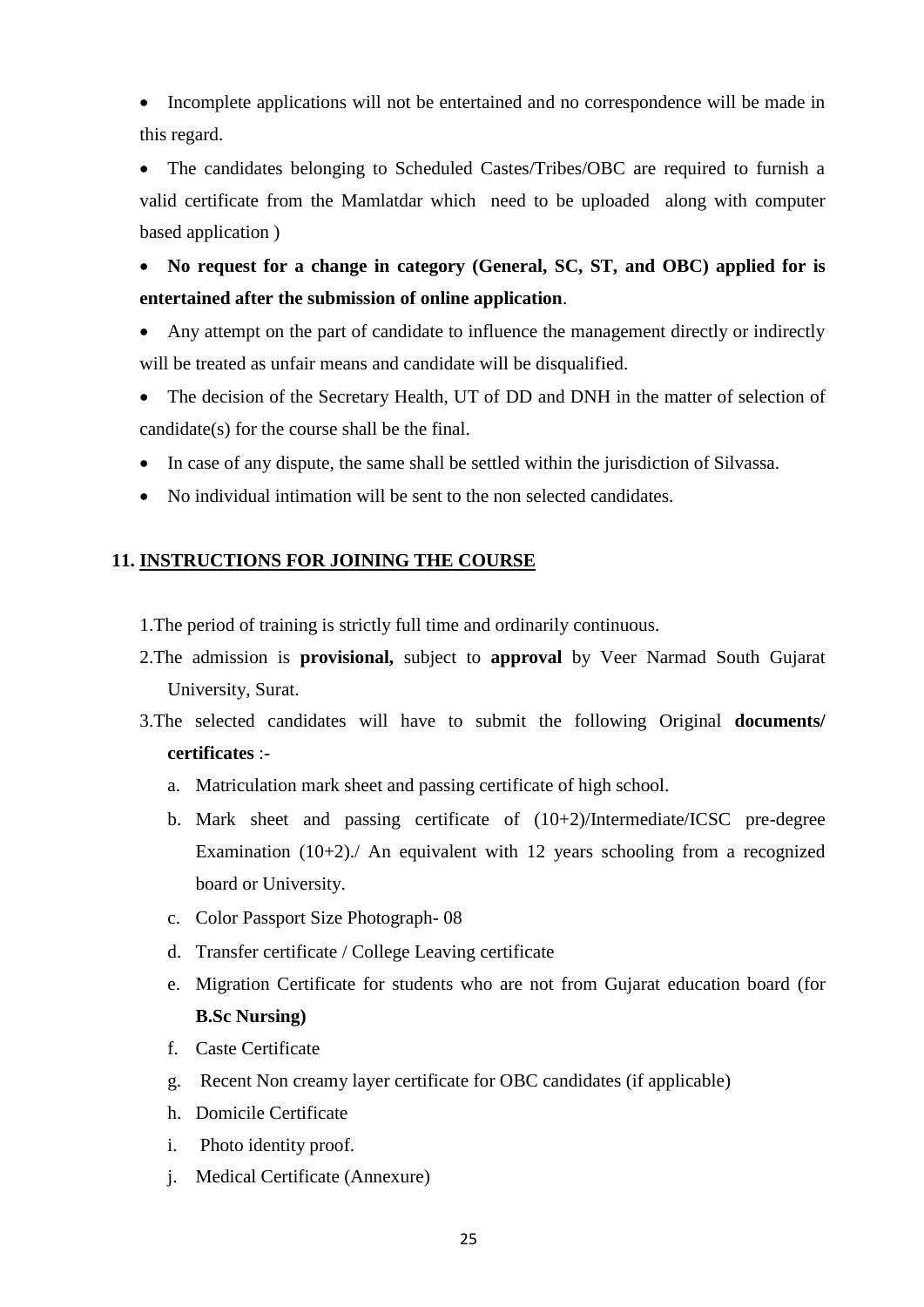• Incomplete applications will not be entertained and no correspondence will be made in this regard.

 The candidates belonging to Scheduled Castes/Tribes/OBC are required to furnish a valid certificate from the Mamlatdar which need to be uploaded along with computer based application )

 **No request for a change in category (General, SC, ST, and OBC) applied for is entertained after the submission of online application**.

- Any attempt on the part of candidate to influence the management directly or indirectly will be treated as unfair means and candidate will be disqualified.
- The decision of the Secretary Health, UT of DD and DNH in the matter of selection of candidate(s) for the course shall be the final.
- In case of any dispute, the same shall be settled within the jurisdiction of Silvassa.
- No individual intimation will be sent to the non selected candidates.

#### **11. INSTRUCTIONS FOR JOINING THE COURSE**

1.The period of training is strictly full time and ordinarily continuous.

- 2.The admission is **provisional,** subject to **approval** by Veer Narmad South Gujarat University, Surat.
- 3.The selected candidates will have to submit the following Original **documents/ certificates** :
	- a. Matriculation mark sheet and passing certificate of high school.
	- b. Mark sheet and passing certificate of (10+2)/Intermediate/ICSC pre-degree Examination (10+2)./ An equivalent with 12 years schooling from a recognized board or University.
	- c. Color Passport Size Photograph- 08
	- d. Transfer certificate / College Leaving certificate
	- e. Migration Certificate for students who are not from Gujarat education board (for **B.Sc Nursing)**
	- f. Caste Certificate
	- g. Recent Non creamy layer certificate for OBC candidates (if applicable)
	- h. Domicile Certificate
	- i. Photo identity proof.
	- j. Medical Certificate (Annexure)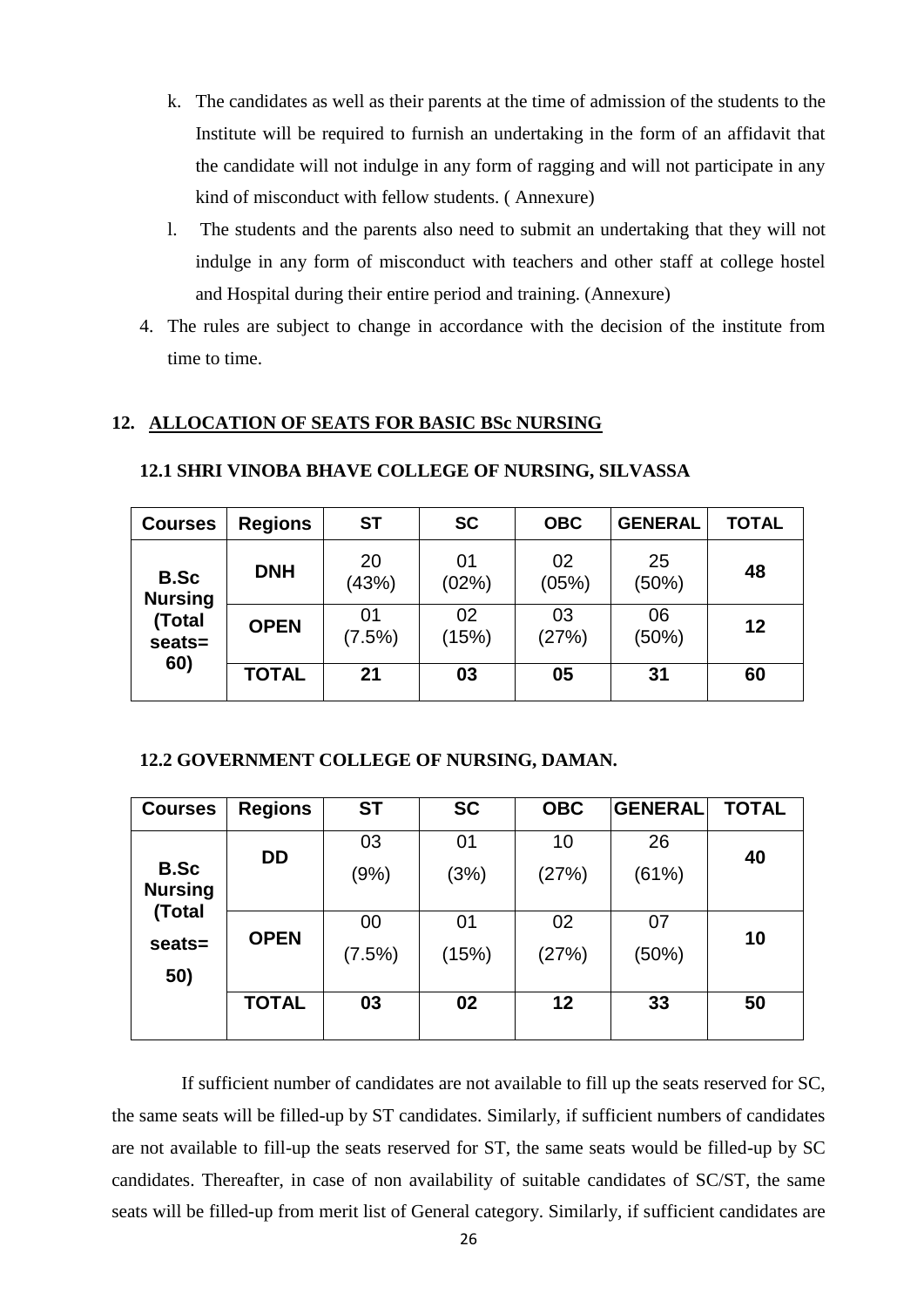- k. The candidates as well as their parents at the time of admission of the students to the Institute will be required to furnish an undertaking in the form of an affidavit that the candidate will not indulge in any form of ragging and will not participate in any kind of misconduct with fellow students. ( Annexure)
- l. The students and the parents also need to submit an undertaking that they will not indulge in any form of misconduct with teachers and other staff at college hostel and Hospital during their entire period and training. (Annexure)
- 4. The rules are subject to change in accordance with the decision of the institute from time to time.

#### **12. ALLOCATION OF SEATS FOR BASIC BSc NURSING**

| <b>Courses</b>                                    | <b>Regions</b> | <b>ST</b>    | <b>SC</b>   | <b>OBC</b>  | <b>GENERAL</b> | <b>TOTAL</b> |
|---------------------------------------------------|----------------|--------------|-------------|-------------|----------------|--------------|
| <b>B.Sc</b><br><b>Nursing</b><br>(Total<br>seats= | <b>DNH</b>     | 20<br>(43%)  | 01<br>(02%) | 02<br>(05%) | 25<br>(50%)    | 48           |
|                                                   | <b>OPEN</b>    | 01<br>(7.5%) | 02<br>(15%) | 03<br>(27%) | 06<br>(50%)    | 12           |
| 60)                                               | <b>TOTAL</b>   | 21           | 03          | 05          | 31             | 60           |

#### **12.1 SHRI VINOBA BHAVE COLLEGE OF NURSING, SILVASSA**

#### **12.2 GOVERNMENT COLLEGE OF NURSING, DAMAN.**

| <b>Courses</b>                | <b>Regions</b> | <b>ST</b> | <b>SC</b> | <b>OBC</b> | <b>GENERAL</b> | <b>TOTAL</b> |
|-------------------------------|----------------|-----------|-----------|------------|----------------|--------------|
|                               | <b>DD</b>      | 03        | 01        | 10         | 26             | 40           |
| <b>B.Sc</b><br><b>Nursing</b> |                | (9%)      | (3%)      | (27%)      | (61%)          |              |
| (Total                        |                | 00        | 01        | 02         | 07             |              |
| seats=                        | <b>OPEN</b>    | (7.5%)    | (15%)     | (27%)      | (50%)          | 10           |
| 50)                           |                |           |           |            |                |              |
|                               | <b>TOTAL</b>   | 03        | 02        | 12         | 33             | 50           |
|                               |                |           |           |            |                |              |

If sufficient number of candidates are not available to fill up the seats reserved for SC, the same seats will be filled-up by ST candidates. Similarly, if sufficient numbers of candidates are not available to fill-up the seats reserved for ST, the same seats would be filled-up by SC candidates. Thereafter, in case of non availability of suitable candidates of SC/ST, the same seats will be filled-up from merit list of General category. Similarly, if sufficient candidates are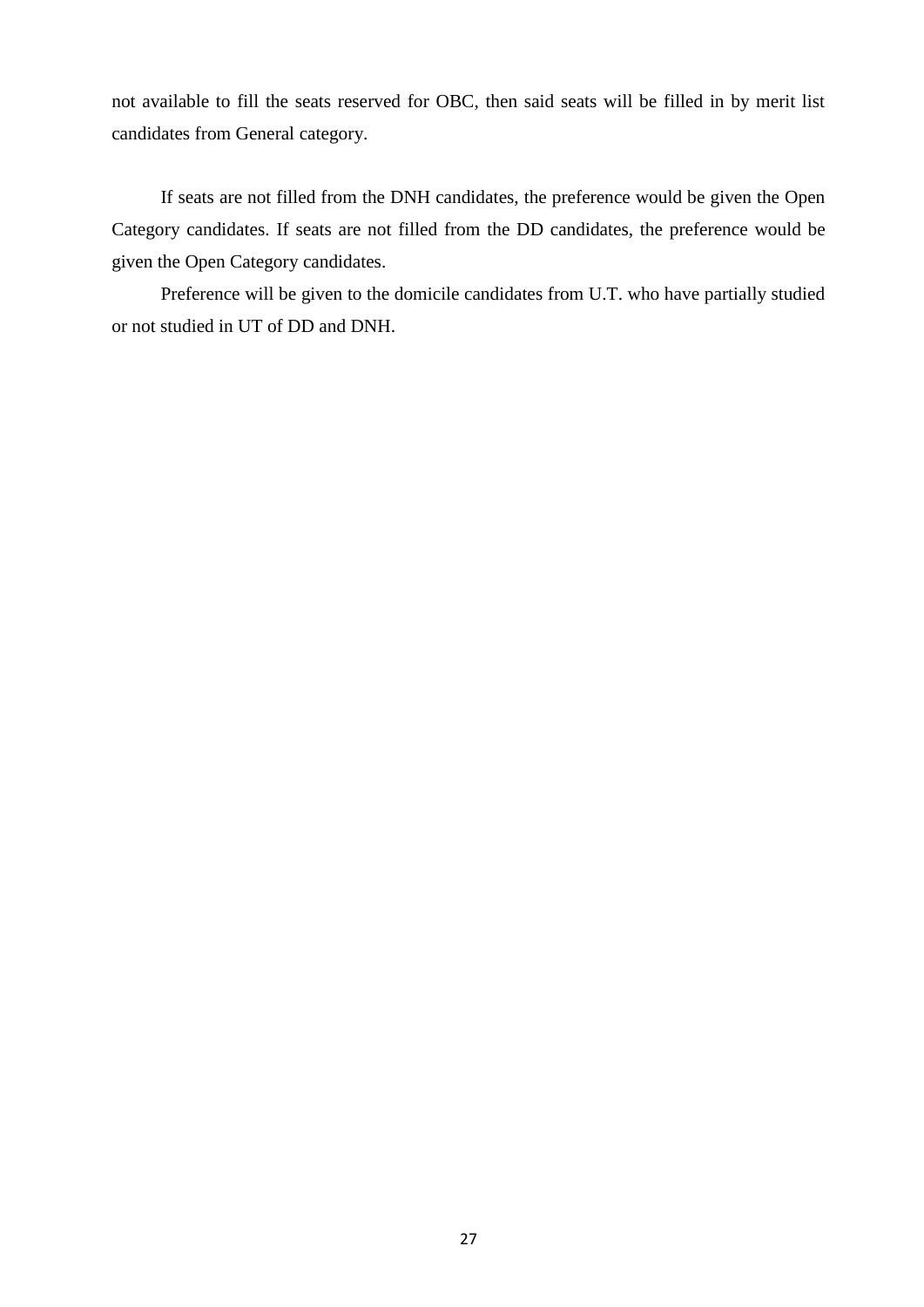not available to fill the seats reserved for OBC, then said seats will be filled in by merit list candidates from General category.

If seats are not filled from the DNH candidates, the preference would be given the Open Category candidates. If seats are not filled from the DD candidates, the preference would be given the Open Category candidates.

Preference will be given to the domicile candidates from U.T. who have partially studied or not studied in UT of DD and DNH.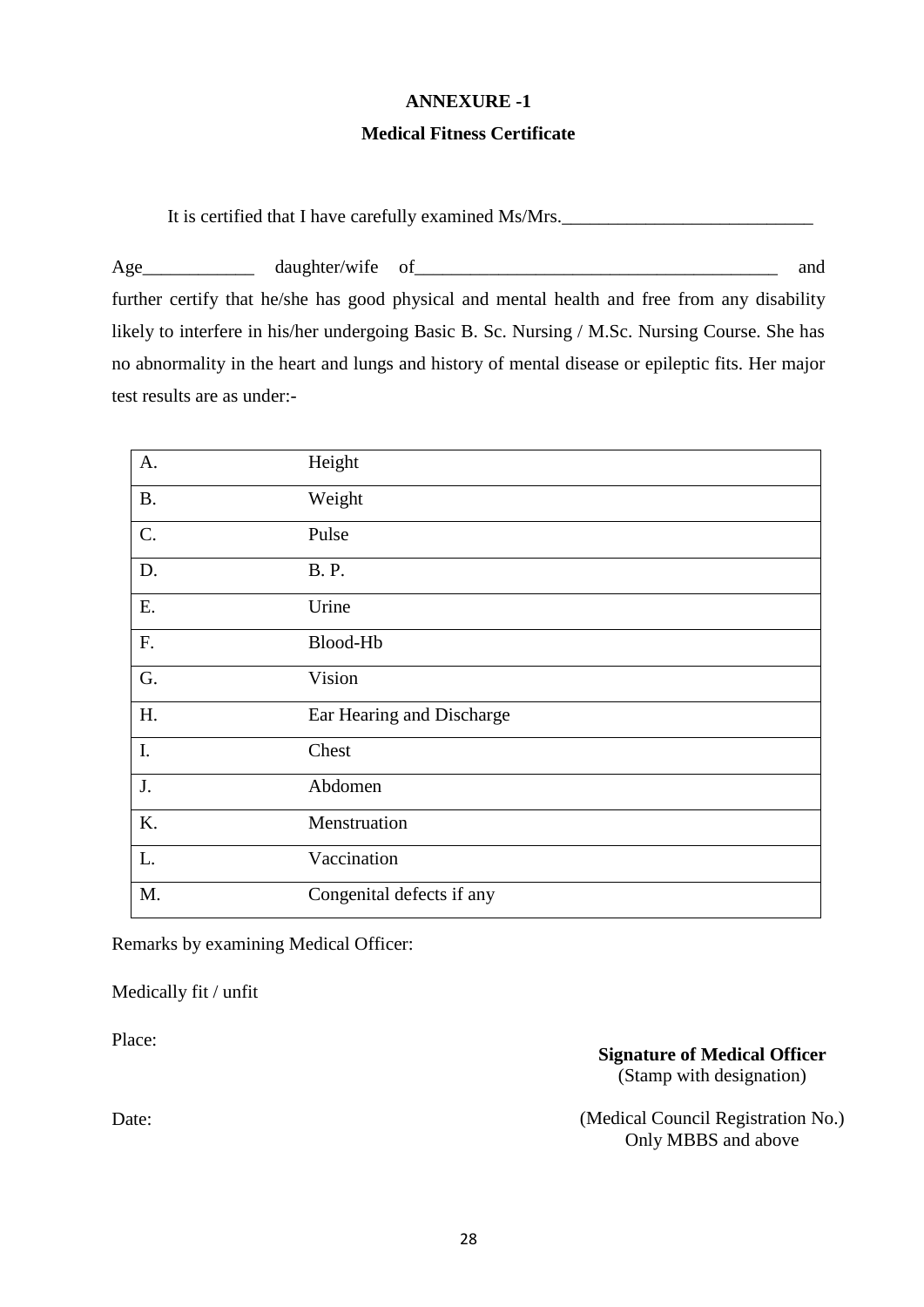#### **ANNEXURE -1**

#### **Medical Fitness Certificate**

It is certified that I have carefully examined Ms/Mrs.

Age\_\_\_\_\_\_\_\_\_\_\_\_ daughter/wife of\_\_\_\_\_\_\_\_\_\_\_\_\_\_\_\_\_\_\_\_\_\_\_\_\_\_\_\_\_\_\_\_\_\_\_\_\_\_\_ and further certify that he/she has good physical and mental health and free from any disability likely to interfere in his/her undergoing Basic B. Sc. Nursing / M.Sc. Nursing Course. She has no abnormality in the heart and lungs and history of mental disease or epileptic fits. Her major test results are as under:-

| A.        | Height                    |
|-----------|---------------------------|
| <b>B.</b> | Weight                    |
| C.        | Pulse                     |
| D.        | <b>B.P.</b>               |
| Ε.        | Urine                     |
| F.        | Blood-Hb                  |
| G.        | Vision                    |
| H.        | Ear Hearing and Discharge |
| I.        | Chest                     |
| J.        | Abdomen                   |
| K.        | Menstruation              |
| L.        | Vaccination               |
| M.        | Congenital defects if any |

Remarks by examining Medical Officer:

Medically fit / unfit

Place:

**Signature of Medical Officer** (Stamp with designation)

(Medical Council Registration No.) Only MBBS and above

Date: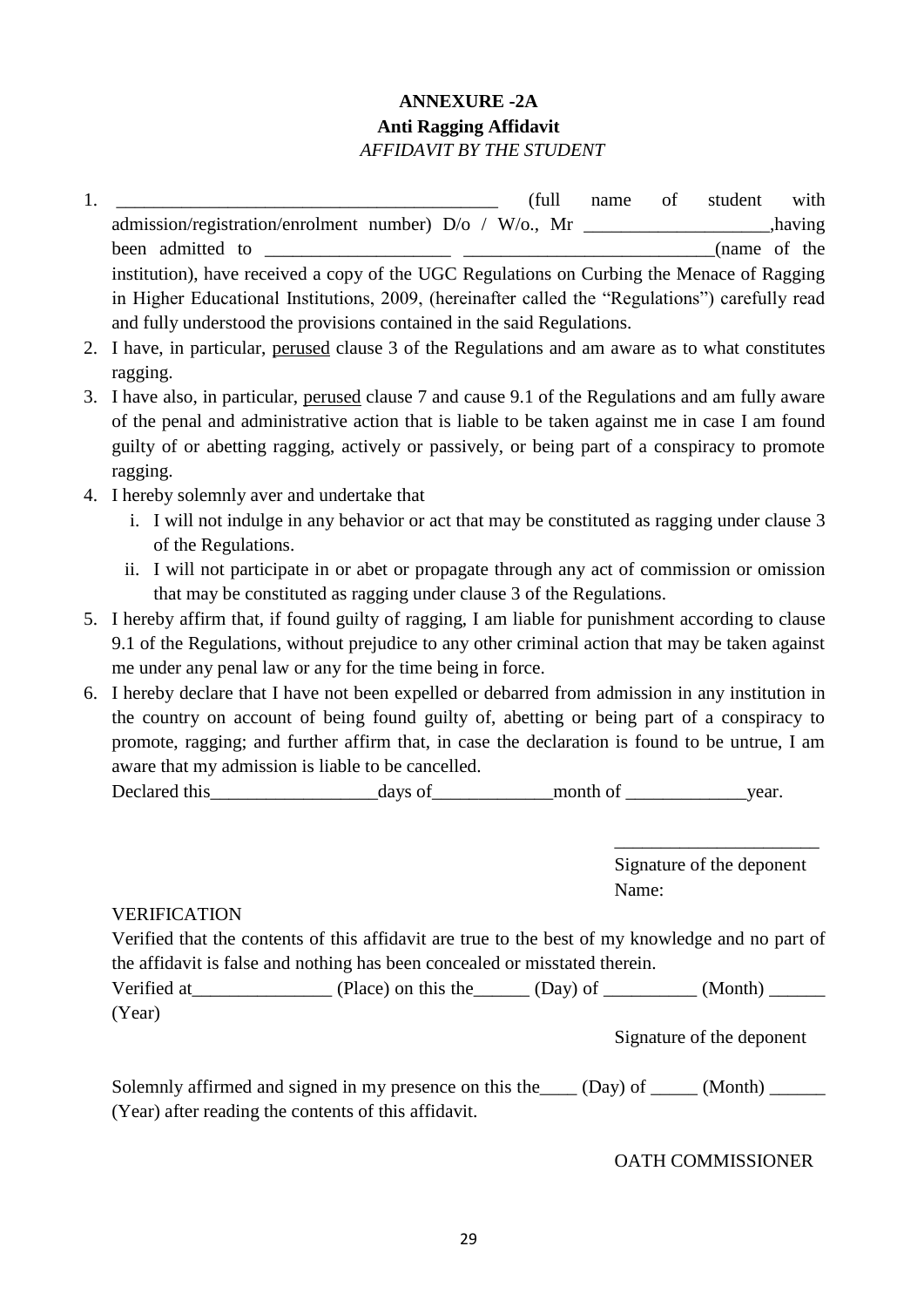## **ANNEXURE -2A Anti Ragging Affidavit** *AFFIDAVIT BY THE STUDENT*

- 1. \_\_\_\_\_\_\_\_\_\_\_\_\_\_\_\_\_\_\_\_\_\_\_\_\_\_\_\_\_\_\_\_\_\_\_\_\_\_\_\_\_ (full name of student with admission/registration/enrolment number)  $D/O / W/O$ ., Mr been admitted to  $(name of the$ institution), have received a copy of the UGC Regulations on Curbing the Menace of Ragging in Higher Educational Institutions, 2009, (hereinafter called the "Regulations") carefully read and fully understood the provisions contained in the said Regulations.
- 2. I have, in particular, perused clause 3 of the Regulations and am aware as to what constitutes ragging.
- 3. I have also, in particular, perused clause 7 and cause 9.1 of the Regulations and am fully aware of the penal and administrative action that is liable to be taken against me in case I am found guilty of or abetting ragging, actively or passively, or being part of a conspiracy to promote ragging.
- 4. I hereby solemnly aver and undertake that
	- i. I will not indulge in any behavior or act that may be constituted as ragging under clause 3 of the Regulations.
	- ii. I will not participate in or abet or propagate through any act of commission or omission that may be constituted as ragging under clause 3 of the Regulations.
- 5. I hereby affirm that, if found guilty of ragging, I am liable for punishment according to clause 9.1 of the Regulations, without prejudice to any other criminal action that may be taken against me under any penal law or any for the time being in force.
- 6. I hereby declare that I have not been expelled or debarred from admission in any institution in the country on account of being found guilty of, abetting or being part of a conspiracy to promote, ragging; and further affirm that, in case the declaration is found to be untrue, I am aware that my admission is liable to be cancelled.

| Declared this | <b>2716</b><br>TC | month<br>люния |  |
|---------------|-------------------|----------------|--|
|---------------|-------------------|----------------|--|

Signature of the deponent Name:

\_\_\_\_\_\_\_\_\_\_\_\_\_\_\_\_\_\_\_\_\_\_

#### VERIFICATION

Verified that the contents of this affidavit are true to the best of my knowledge and no part of the affidavit is false and nothing has been concealed or misstated therein.

| Verified at | (Place) on this the | (Day) of | (Month) |
|-------------|---------------------|----------|---------|
| (Year)      |                     |          |         |

Signature of the deponent

Solemnly affirmed and signed in my presence on this the  $\Box$  (Day) of  $\Box$  (Month)  $\Box$ (Year) after reading the contents of this affidavit.

#### OATH COMMISSIONER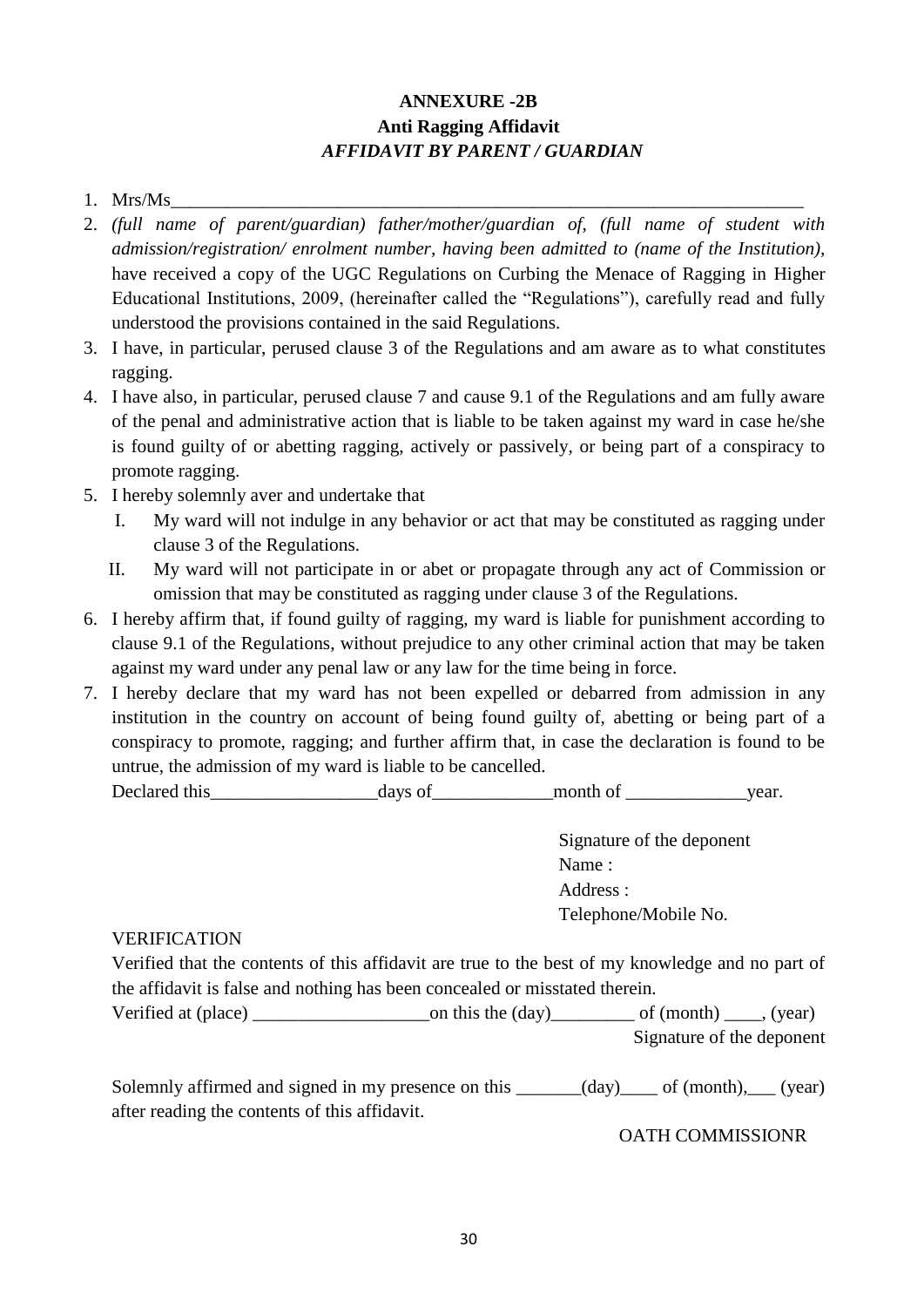## **ANNEXURE -2B Anti Ragging Affidavit** *AFFIDAVIT BY PARENT / GUARDIAN*

- 1. Mrs/Ms
- 2. *(full name of parent/guardian) father/mother/guardian of, (full name of student with admission/registration/ enrolment number, having been admitted to (name of the Institution),*  have received a copy of the UGC Regulations on Curbing the Menace of Ragging in Higher Educational Institutions, 2009, (hereinafter called the "Regulations"), carefully read and fully understood the provisions contained in the said Regulations.
- 3. I have, in particular, perused clause 3 of the Regulations and am aware as to what constitutes ragging.
- 4. I have also, in particular, perused clause 7 and cause 9.1 of the Regulations and am fully aware of the penal and administrative action that is liable to be taken against my ward in case he/she is found guilty of or abetting ragging, actively or passively, or being part of a conspiracy to promote ragging.
- 5. I hereby solemnly aver and undertake that
	- I. My ward will not indulge in any behavior or act that may be constituted as ragging under clause 3 of the Regulations.
	- II. My ward will not participate in or abet or propagate through any act of Commission or omission that may be constituted as ragging under clause 3 of the Regulations.
- 6. I hereby affirm that, if found guilty of ragging, my ward is liable for punishment according to clause 9.1 of the Regulations, without prejudice to any other criminal action that may be taken against my ward under any penal law or any law for the time being in force.
- 7. I hereby declare that my ward has not been expelled or debarred from admission in any institution in the country on account of being found guilty of, abetting or being part of a conspiracy to promote, ragging; and further affirm that, in case the declaration is found to be untrue, the admission of my ward is liable to be cancelled.

| Declared this | $\alpha$ | month | vear |
|---------------|----------|-------|------|
|---------------|----------|-------|------|

Signature of the deponent Name : Address : Telephone/Mobile No.

#### VERIFICATION

Verified that the contents of this affidavit are true to the best of my knowledge and no part of the affidavit is false and nothing has been concealed or misstated therein.

Verified at (place)  $\qquad \qquad \text{on this the (day)} \qquad \qquad \text{of (month)} \qquad \text{, (year)}$ Signature of the deponent

Solemnly affirmed and signed in my presence on this  $\qquad \qquad$  (day) of (month), (year) after reading the contents of this affidavit.

OATH COMMISSIONR